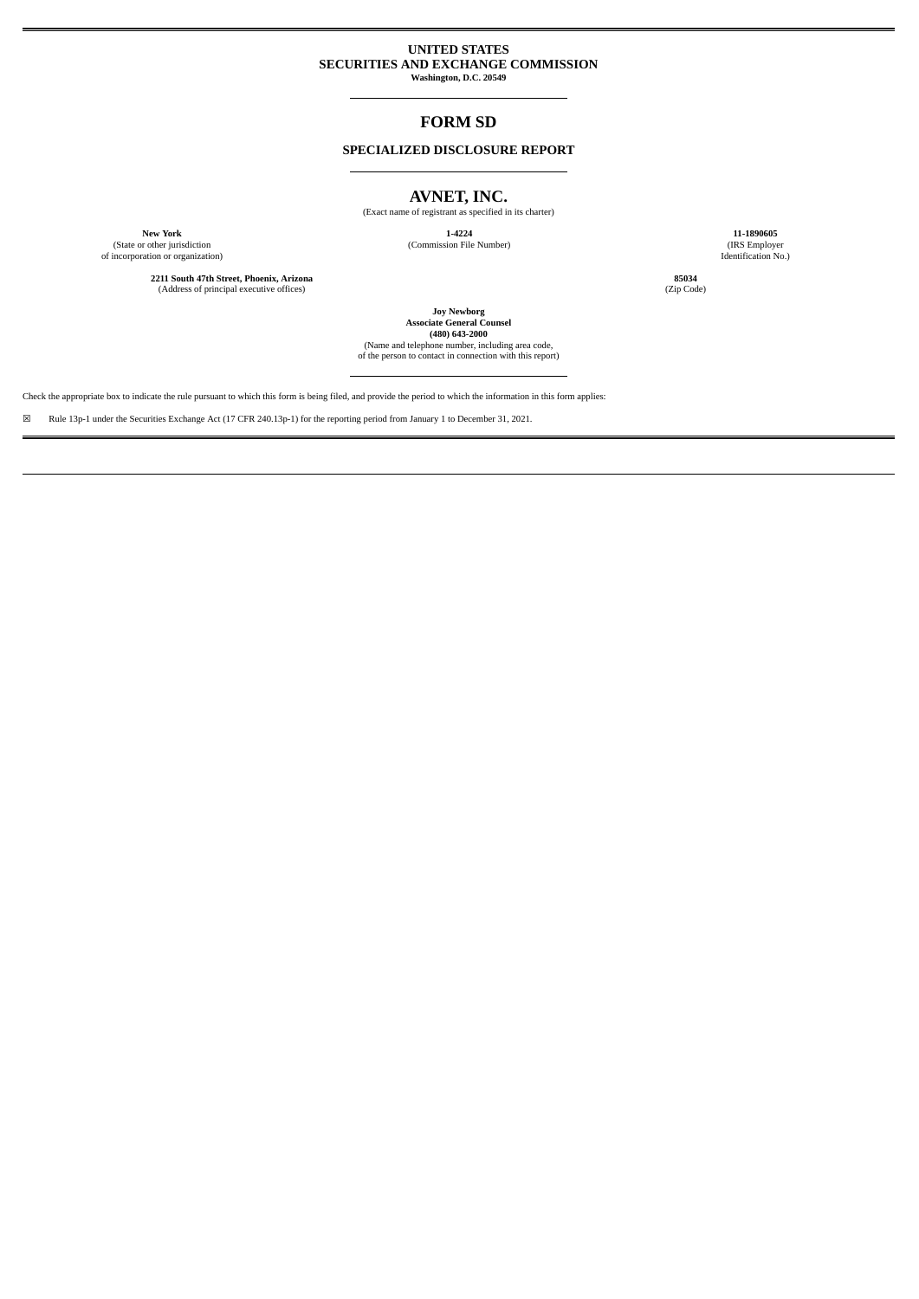# **UNITED STATES SECURITIES AND EXCHANGE COMMISSION**

**Washington, D.C. 20549**

# **FORM SD**

# **SPECIALIZED DISCLOSURE REPORT**

# **AVNET, INC.**

(Exact name of registrant as specified in its charter)

(State or other jurisdiction (Commission File Number) (IRS Employer of incorporation or organization) Identification No.)

**2211 South 47th Street, Phoenix, Arizona 85034** (Address of principal executive offices)

**New York 1-4224 11-1890605**

**Joy Newborg Associate General Counsel (480) 643-2000**

(Name and telephone number, including area code, of the person to contact in connection with this report)

Check the appropriate box to indicate the rule pursuant to which this form is being filed, and provide the period to which the information in this form applies:

☒ Rule 13p-1 under the Securities Exchange Act (17 CFR 240.13p-1) for the reporting period from January 1 to December 31, 2021.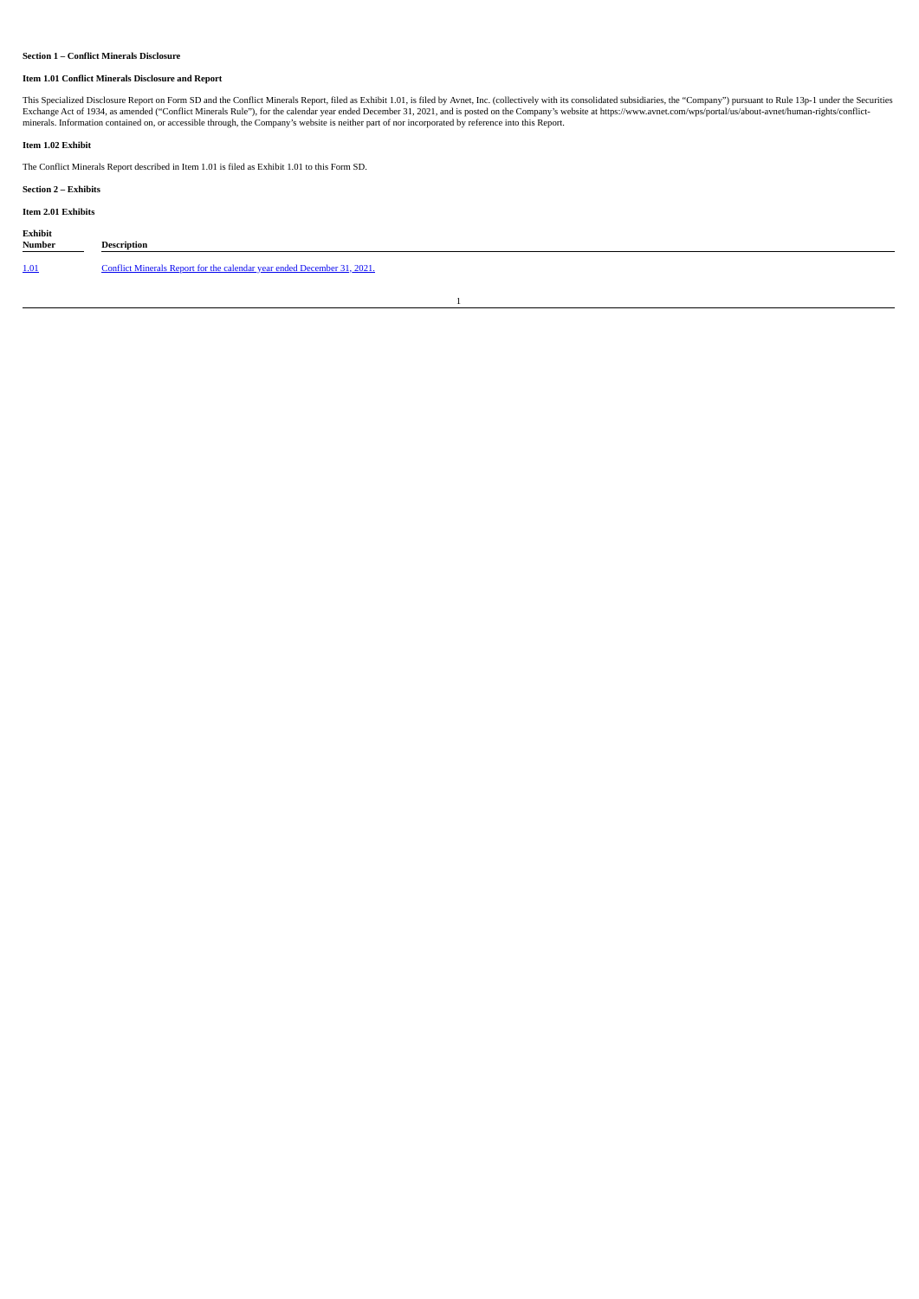# **Section 1 – Conflict Minerals Disclosure**

# **Item 1.01 Conflict Minerals Disclosure and Report**

This Specialized Disclosure Report on Form SD and the Conflict Minerals Report, filed as Exhibit 1.01, is filed by Avnet, Inc. (collectively with its consolidated subsidiaries, the "Company") pursuant to Rule 13p-1 under t

# **Item 1.02 Exhibit**

The Conflict Minerals Report described in Item 1.01 is filed as Exhibit 1.01 to this Form SD.

# **Section 2 – Exhibits**

# **Item 2.01 Exhibits**

| Exhibit<br><b>Number</b> | Description                                                             |
|--------------------------|-------------------------------------------------------------------------|
| 1.01                     | Conflict Minerals Report for the calendar year ended December 31, 2021. |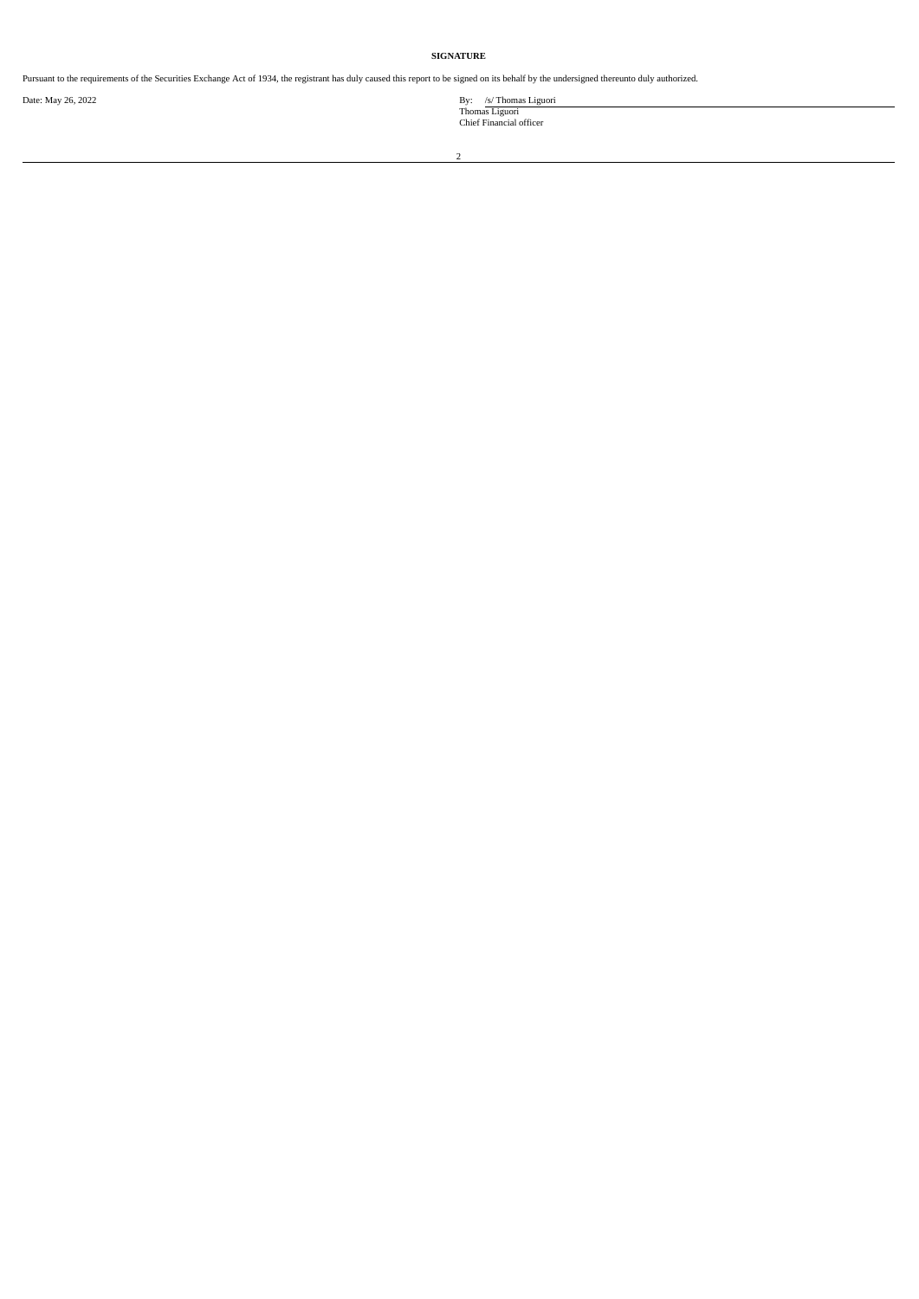# **SIGNATURE**

Pursuant to the requirements of the Securities Exchange Act of 1934, the registrant has duly caused this report to be signed on its behalf by the undersigned thereunto duly authorized.

Date: May 26, 2022<br>
By: /s/ Thomas Liguori<br>
Chief Financial officer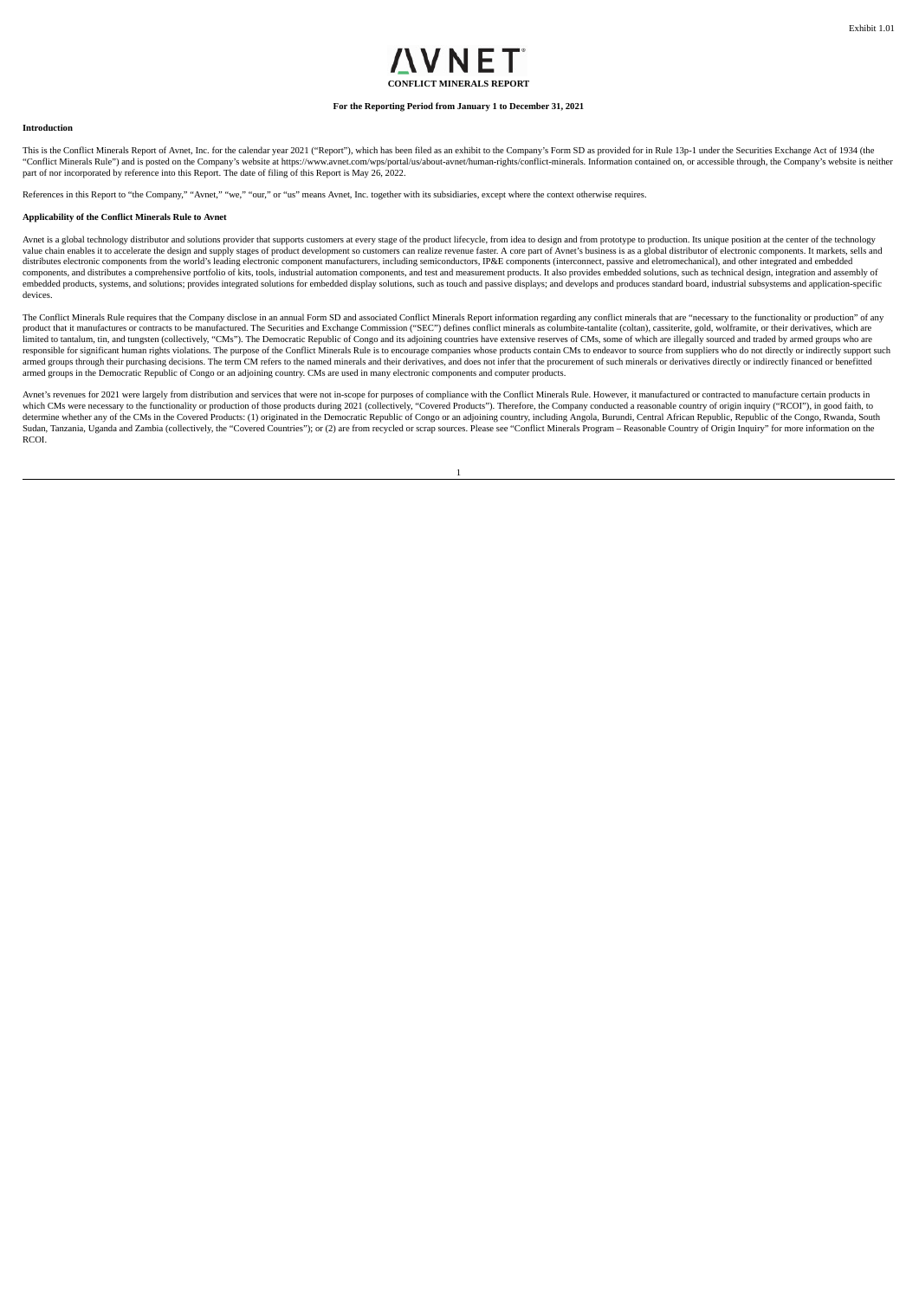# VNFT **CONFLICT MINERALS REPORT**

#### **For the Reporting Period from January 1 to December 31, 2021**

#### <span id="page-3-0"></span>**Introduction**

This is the Conflict Minerals Report of Avnet, Inc. for the calendar year 2021 ("Report"), which has been filed as an exhibit to the Company's Form SD as provided for in Rule 13p-1 under the Securities Exchange Act of 1934 "Conflict Minerals Rule") and is posted on the Company's website at https://www.avnet.com/wps/portal/us/about-avnet/human-rights/conflict-minerals. Information contained on, or accessible through, the Company's website is

References in this Report to "the Company," "Avnet," "we," "our," or "us" means Avnet, Inc. together with its subsidiaries, except where the context otherwise requires.

#### **Applicability of the Conflict Minerals Rule to Avnet**

Aynet is a global technology distributor and solutions provider that supports customers at every stage of the product lifecycle, from idea to design and from prototype to production. Its unique position at the center of th enables it to accelerate the design and supply stages of product development so customers can realize revenue faster. A core part of Avnet's business is a a global distributor of electronic components. It markets, sells an distributes electronic components from the world's leading electronic component manufacturers, including semiconductors, IP&E components (interconnect, passive and eletromechanical), and other integrated and embedded<br>compo embedded products, systems, and solutions; provides integrated solutions for embedded display solutions, such as touch and passive displays; and develops and produces standard board, industrial subsystems and application-s devices.

The Conflict Minerals Rule requires that the Company disclose in an annual Form SD and associated Conflict Minerals Report information regarding any conflict minerals that are "necessary to the functionality or production" product that it manufactures or contracts to be manufactured. The Securities and Exchange Commission ("SEC") defines conflict minerals as columbite-dantalite (coltan), cassiterite, gold, wolframite, or their derivatives, w armed groups through their purchasing decisions. The term CM refers to the named minerals and their derivatives, and does not infer that the procurement of such minerals or derivatives directly or indirectly financed or be armed groups in the Democratic Republic of Congo or an adjoining country. CMs are used in many electronic components and computer products.

Avnet's revenues for 2021 were largely from distribution and services that were not in-scope for purposes of compliance with the Conflict Minerals Rule. However, it manufactured or contracted to manufacture certain product which CMs were necessary to the functionality or production of those products during 2021 (collectively, "Covered Products"). Therefore, the Company conducted a reasonable country of origin inquiry ("RCOI"), in good faith, Sudan, Tanzania, Uganda and Zambia (collectively, the "Covered Countries"); or (2) are from recycled or scrap sources. Please see "Conflict Minerals Program – Reasonable Country of Origin Inquiry" for more information on the RCOI.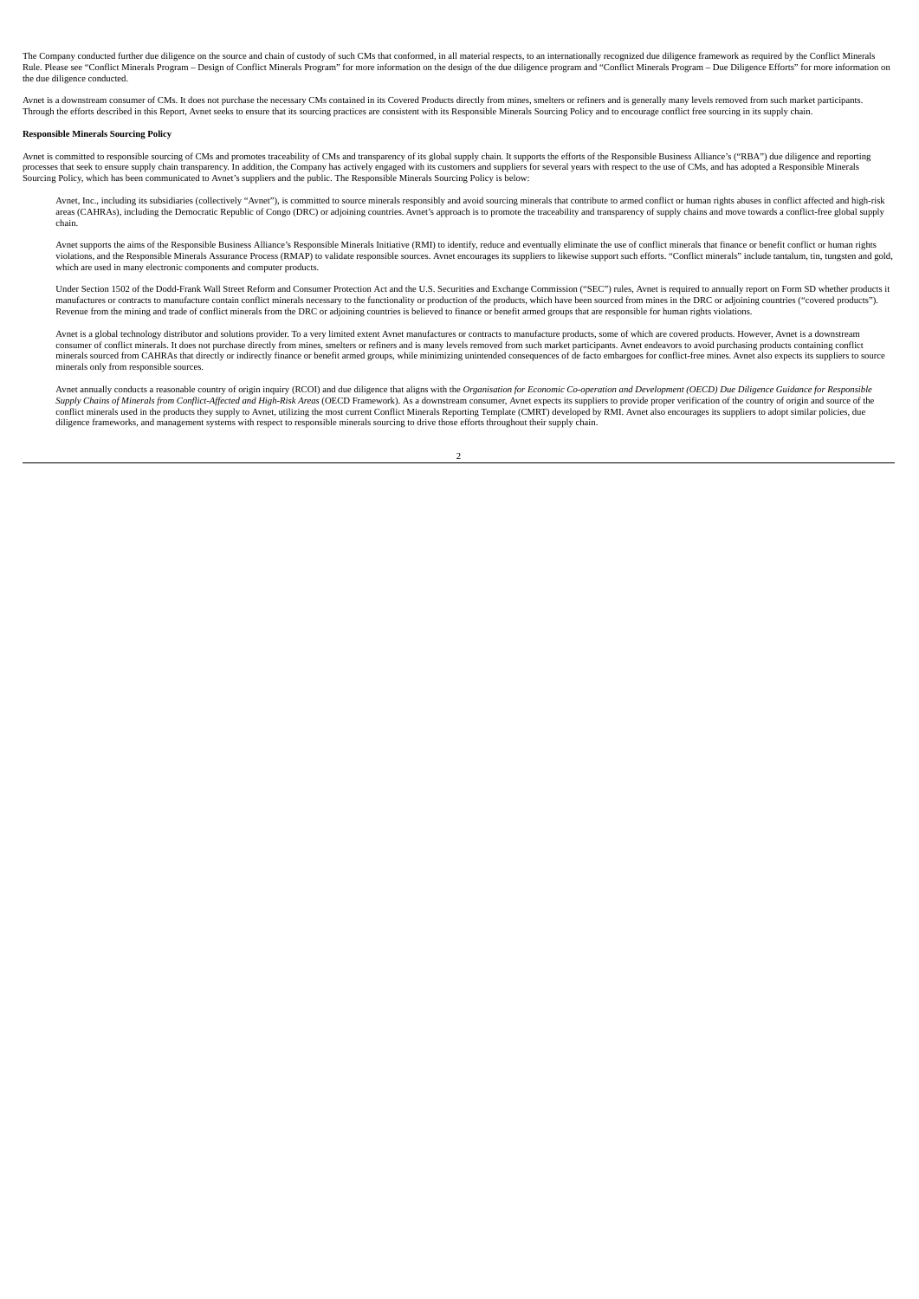The Company conducted further due diligence on the source and chain of custody of such CMs that conformed, in all material respects, to an internationally recognized due diligence framework as required by the Conflict Mine Rule. Please see "Conflict Minerals Program – Design of Conflict Minerals Program" for more information on the design of the due diligence program and "Conflict Minerals Program – Due Diligence Efforts" for more informatio the due diligence conducted.

Avnet is a downstream consumer of CMs. It does not purchase the necessary CMs contained in its Covered Products directly from mines, smelters or refiners and is generally many levels removed from such market participants. Through the efforts described in this Report, Avnet seeks to ensure that its sourcing practices are consistent with its Responsible Minerals Sourcing Policy and to encourage conflict free sourcing in its supply chain.

#### **Responsible Minerals Sourcing Policy**

Avnet is committed to responsible sourcing of CMs and promotes traceability of CMs and transparency of its global supply chain. It supports the efforts of the Responsible Business Alliance's ("RBA") due diligence and repor processes that seek to ensure supply chain transparency. In addition, the Company has actively engaged with its customers and suppliers for several years with respect to the use of CMs, and has adopted a Responsible Minera

Avnet, Inc., including its subsidiaries (collectively "Avnet"), is committed to source minerals responsibly and avoid sourcing minerals that contribute to armed conflict or human rights abuses in conflict affected and high areas (CAHRAs), including the Democratic Republic of Congo (DRC) or adjoining countries. Avnet's approach is to promote the traceability and transparency of supply chains and move towards a conflict-free global supply chai chain.

Avnet supports the aims of the Responsible Business Alliance's Responsible Minerals Initiative (RMI) to identify, reduce and eventually eliminate the use of conflict minerals that finance or benefit conflict or human right which are used in many electronic components and computer products.

Under Section 1502 of the Dodd-Frank Wall Street Reform and Consumer Protection Act and the U.S. Securities and Exchange Commission ("SEC") rules, Avnet is required to annually report on Form SD whether products it manufactures or contracts to manufacture contain conflict minerals necessary to the functionality or production of the products, which have been sourced from mines in the DRC or adjoining countries ("covered products").<br>Re

Avnet is a global technology distributor and solutions provider. To a very limited extent Avnet manufactures or contracts to manufacture products, some of which are covered products. However, Avnet is a downstream consumer of conflict minerals. It does not purchase directly from mines, smelters or refiners and is many levels removed from such market participants. Avnet endeavors to avoid purchasing products containing conflict<br>miner minerals only from responsible sources.

Avnet annually conducts a reasonable country of origin inquiry (RCOI) and due diligence that aligns with the Organisation for Economic Co-operation and Development (OECD) Due Diligence Guidance for Responsible Supply Chains of Minerals from Conflict-Affected and High-Risk Areas (OECD Framework). As a downstream consumer, Avnet expects its suppliers to provide proper verification of the country of origin and source of the<br>conflic diligence frameworks, and management systems with respect to responsible minerals sourcing to drive those efforts throughout their supply chain.

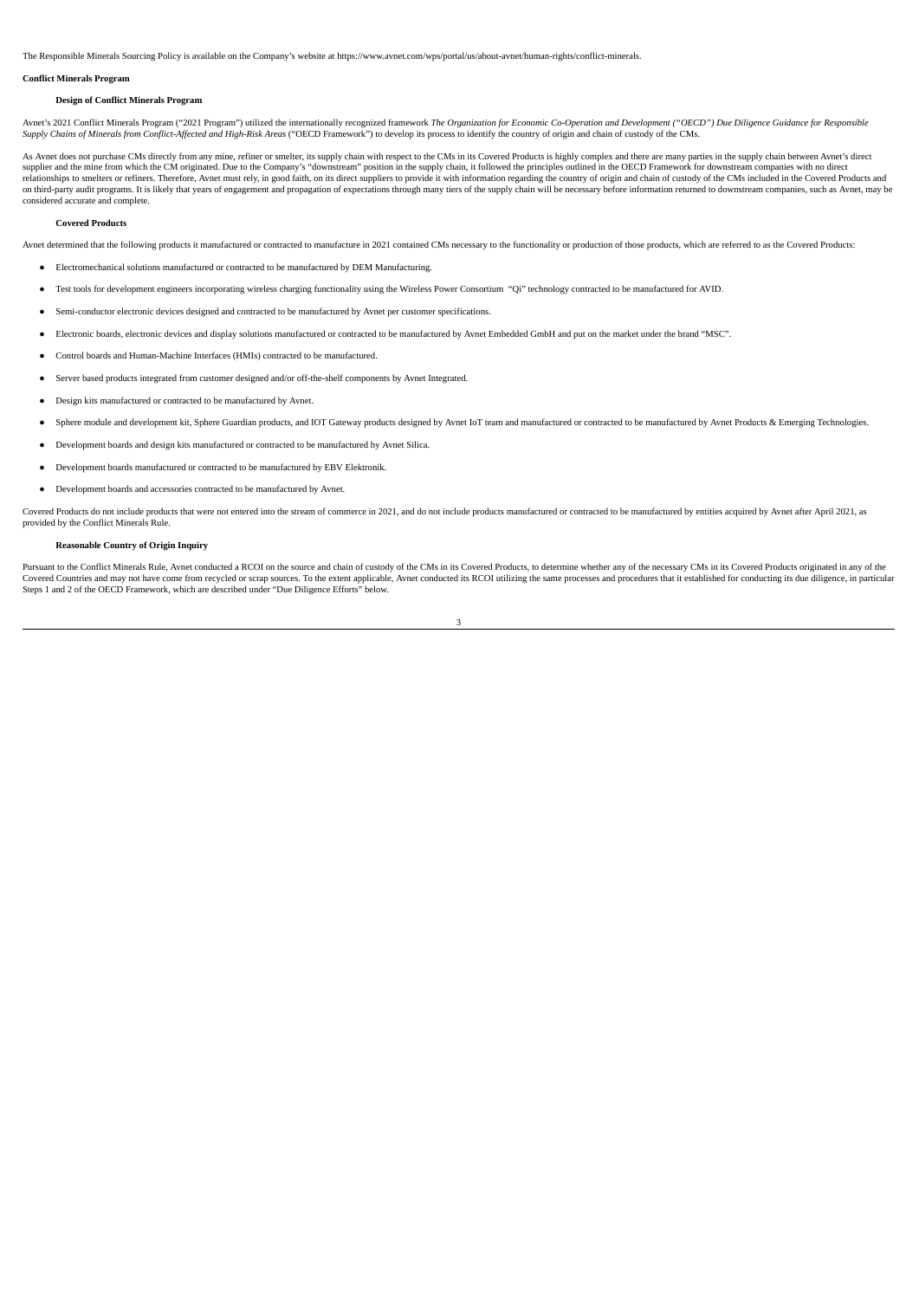The Responsible Minerals Sourcing Policy is available on the Company's website at https://www.avnet.com/wps/portal/us/about-avnet/human-rights/conflict-minerals.

#### **Conflict Minerals Program**

#### **Design of Conflict Minerals Program**

Avnet's 2021 Conflict Minerals Program ("2021 Program") utilized the internationally recognized framework The Organization for Economic Co-Operation and Development ("OECD") Due Diligence Guidance for Responsible Supply Chains of Minerals from Conflict-Affected and High-Risk Areas ("OECD Framework") to develop its process to identify the country of origin and chain of custody of the CMs.

As Avnet does not purchase CMs directly from any mine, refiner or smelter, its supply chain with respect to the CMs in its Covered Products is highly complex and there are many parties in the supply chain between Avnet's d supplier and the mine from which the CM originated. Due to the Company's "downstream" position in the supply chain, it followed the principles outlined in the OECD Framework for downstream companies with no direct engert o on third-party audit programs. It is likely that years of engagement and propagation of expectations through many tiers of the supply chain will be necessary before information returned to downstream companies, such as Avn considered accurate and complete.

#### **Covered Products**

Avnet determined that the following products it manufactured or contracted to manufacture in 2021 contained CMs necessary to the functionality or production of those products, which are referred to as the Covered Products:

- Electromechanical solutions manufactured or contracted to be manufactured by DEM Manufacturing.
- Test tools for development engineers incorporating wireless charging functionality using the Wireless Power Consortium "Qi" technology contracted to be manufactured for AVID.
- Semi-conductor electronic devices designed and contracted to be manufactured by Avnet per customer specifications.
- Electronic boards, electronic devices and display solutions manufactured or contracted to be manufactured by Avnet Embedded GmbH and put on the market under the brand "MSC".
- Control boards and Human-Machine Interfaces (HMIs) contracted to be manufactured.
- Server based products integrated from customer designed and/or off-the-shelf components by Avnet Integrated.
- Design kits manufactured or contracted to be manufactured by Avnet.
- Sphere module and development kit, Sphere Guardian products, and IOT Gateway products designed by Avnet IoT team and manufactured or contracted to be manufactured by Avnet Products & Emerging Technologies.
- Development boards and design kits manufactured or contracted to be manufactured by Avnet Silica.
- Development boards manufactured or contracted to be manufactured by EBV Elektronik.
- Development boards and accessories contracted to be manufactured by Avnet.

Covered Products do not include products that were not entered into the stream of commerce in 2021, and do not include products manufactured or contracted to be manufactured by entities acquired by Avnet after April 2021, as provided by the Conflict Minerals Rule.

#### **Reasonable Country of Origin Inquiry**

Pursuant to the Conflict Minerals Rule, Avnet conducted a RCOI on the source and chain of custody of the CMs in its Covered Products, to determine whether any of the necessary CMs in its Covered Products originated in any Covered Countries and may not have come from recycled or scrap sources. To the extent applicable, Avnet conducted its RCOI utilizing the same processes and procedures that it established for conducting its due diligence, i

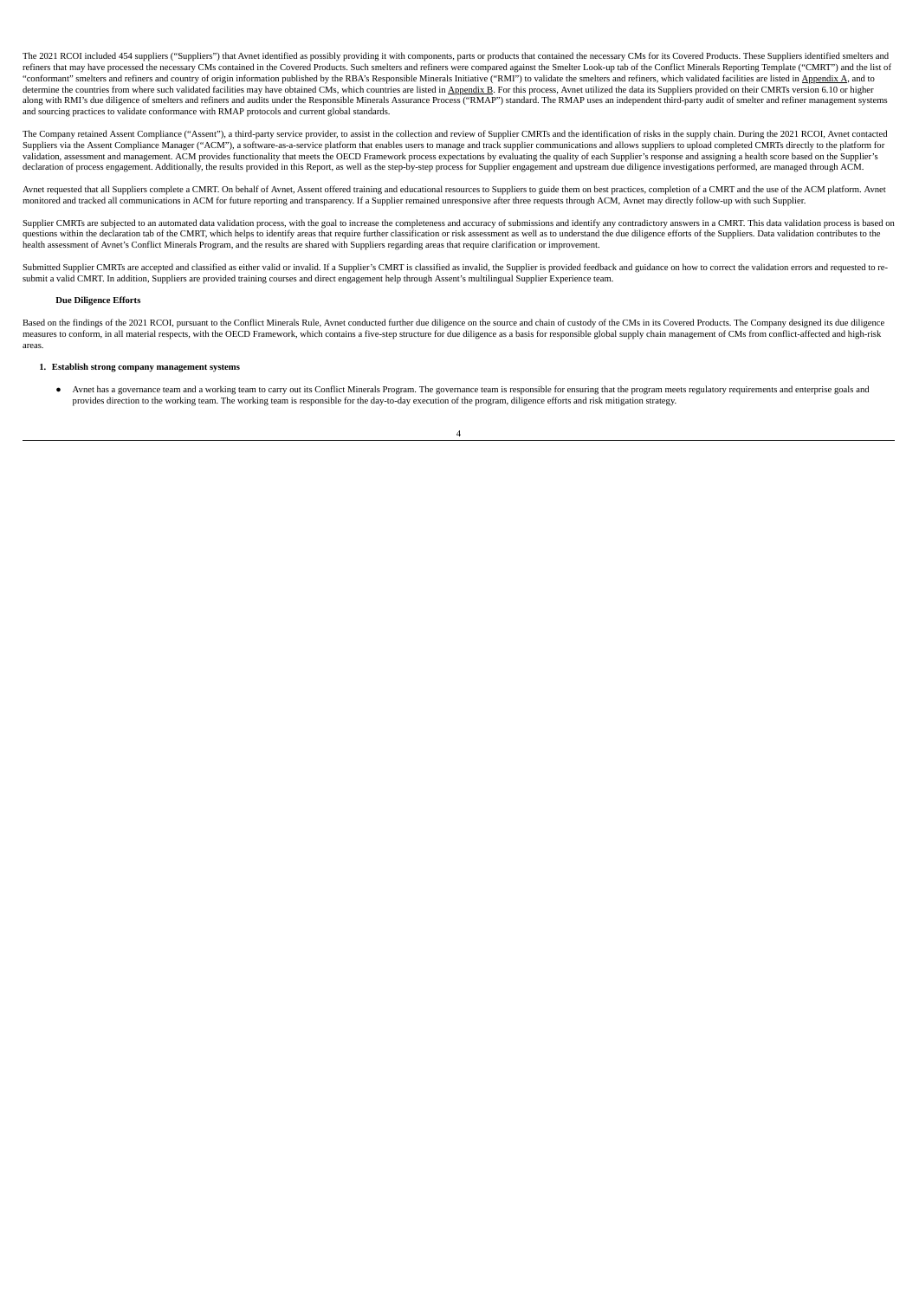The 2021 RCOI included 454 suppliers ("Suppliers") that Avnet identified as possibly providing it with components, parts or products that contained the necessary CMs for its Covered Products. These Suppliers identified sme refiners that may have processed the necessary CMs contained in the Covered Products. Such smelters and refiners were compared against the Smelter Look-up tab of the Conflict Minerals Reporting Template ("CMRT") and the li determine the countries from where such validated facilities may have obtained CMs, which countries are listed in <u>Appendix B</u>. For this process, Avnet utilized the data its Suppliers provided on their CMRTs version 6.10 o and sourcing practices to validate conformance with RMAP protocols and current global standards.

The Company retained Assent Compliance ("Assent"), a third-party service provider, to assist in the collection and review of Supplier CMRTs and the identification of risks in the supply chain. During the 2021 RCOI, Avnet c validation, assessment and management. ACM provides functionality that meets the OECD Framework process expectations by evaluating the quality of each Supplier's response and assigning a health score based on the Supplier's declaration of process engagement. Additionally, the results provided in this Report, as well as the step-by-step process for Supplier engagement and upstream due diligence investigations performed, are managed through ACM.

Avnet requested that all Suppliers complete a CMRT. On behalf of Avnet, Assent offered training and educational resources to Suppliers to guide them on best practices, completion of a CMRT and the use of the ACM platform.

Supplier CMRTs are subjected to an automated data validation process, with the goal to increase the completeness and accuracy of submissions and identify any contradictory answers in a CMRT. This data validation process is questions within the declaration tab of the CMRT, which helps to identify areas that require further classification or risk assessment as well as to understand the due diligence efforts of the Suppliers. Data validation co health assessment of Avnet's Conflict Minerals Program, and the results are shared with Suppliers regarding areas that require clarification or improvement.

Submitted Supplier CMRTs are accepted and classified as either valid or invalid. If a Supplier's CMRT is classified as invalid, the Supplier is provided feedback and guidance on how to correct the validation errors and req

#### **Due Diligence Efforts**

Based on the findings of the 2021 RCOI, pursuant to the Conflict Minerals Rule, Avnet conducted further due diligence on the source and chain of custody of the CMs in its Covered Products. The Company designed its due dili areas.

# **1. Establish strong company management systems**

Avnet has a governance team and a working team to carry out its Conflict Minerals Program. The governance team is responsible for ensuring that the program meets regulatory requirements and enterprise goals and provides direction to the working team. The working team is responsible for the day-to-day execution of the program, diligence efforts and risk mitigation strategy.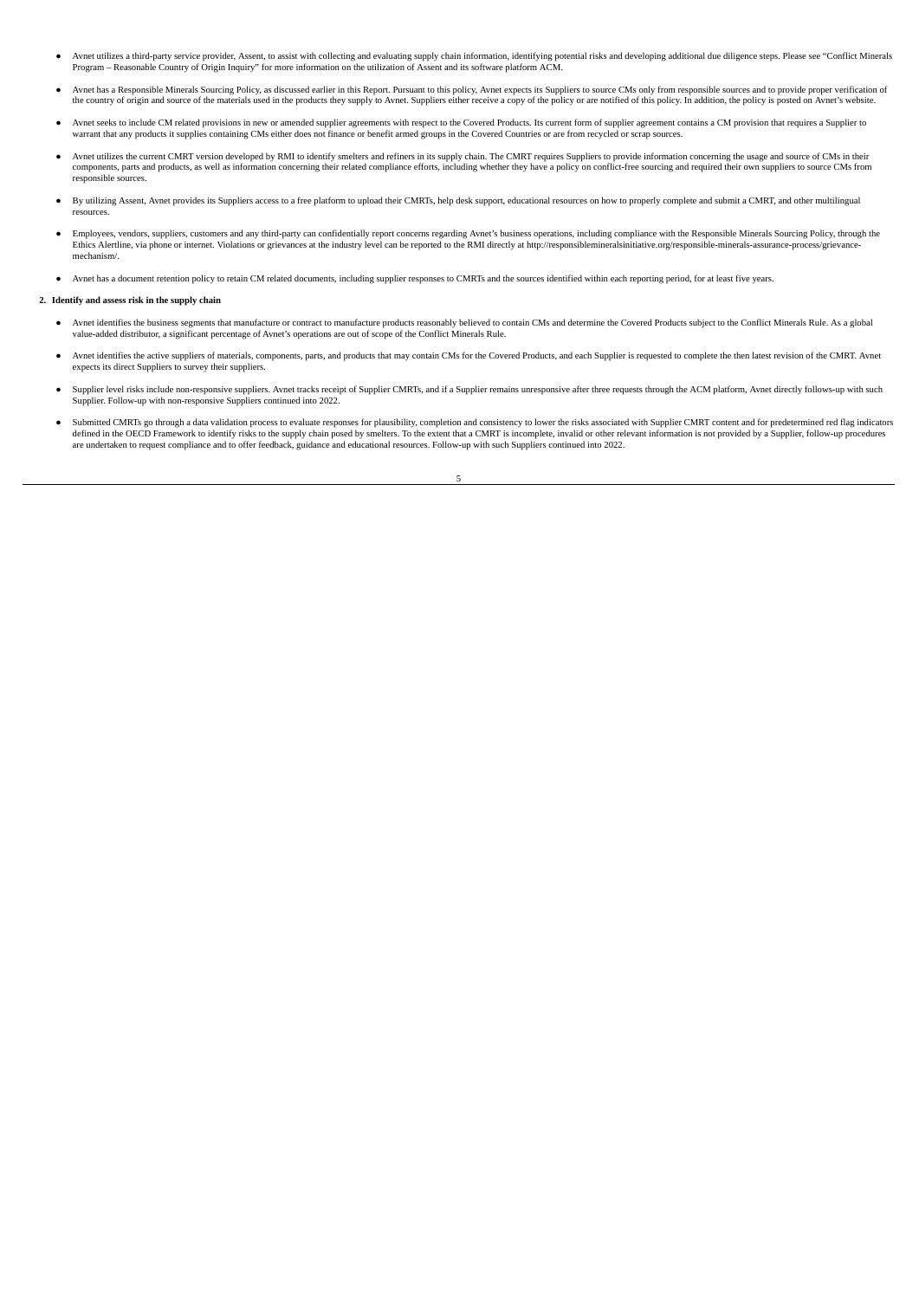- Avnet utilizes a third-party service provider, Assent, to assist with collecting and evaluating supply chain information, identifying potential risks and developing additional due diligence steps. Please see "Conflict Mine Program – Reasonable Country of Origin Inquiry" for more information on the utilization of Assent and its software platform ACM.
- Avnet has a Responsible Minerals Sourcing Policy, as discussed earlier in this Report. Pursuant to this policy, Avnet expects its Suppliers to source CMs only from responsible sources and to provide proper verification of the country of origin and source of the materials used in the products they supply to Avnet. Suppliers either receive a copy of the policy or are notified of this policy. In addition, the policy is posted on Avnet's websit
- Avnet seeks to include CM related provisions in new or amended supplier agreements with respect to the Covered Products. Its current form of supplier agreement contains a CM provision that requires a Supplier to warrant that any products it supplies containing CMs either does not finance or benefit armed groups in the Covered Countries or are from recycled or scrap sources.
- Avnet utilizes the current CMRT version developed by RMI to identify smelters and refiners in its supply chain. The CMRT requires Suppliers to provide information concerning the usage and source of CMs in their components, parts and products, as well as information concerning their related compliance efforts, including whether they have a policy on conflict-free sourcing and required their own suppliers to source CMs from responsible sources.
- By utilizing Assent, Avnet provides its Suppliers access to a free platform to upload their CMRTs, help desk support, educational resources on how to properly complete and submit a CMRT, and other multilingual resources.
- Employees, vendors, suppliers, customers and any third-party can confidentially report concerns regarding Avnet's business operations, including compliance with the Responsible Minerals Sourcing Policy, through the Ethics Alertline, via phone or internet. Violations or grievances at the industry level can be reported to the RMI directly at http://responsiblemineralsinitiative.org/responsible-minerals-assurance-process/grievance mechanism/.
- Avnet has a document retention policy to retain CM related documents, including supplier responses to CMRTs and the sources identified within each reporting period, for at least five years.

#### **2. Identify and assess risk in the supply chain**

- Avnet identifies the business segments that manufacture or contract to manufacture products reasonably believed to contain CMs and determine the Covered Products subject to the Conflict Minerals Rule. As a global value-a
- Avnet identifies the active suppliers of materials, components, parts, and products that may contain CMs for the Covered Products, and each Supplier is requested to complete the then latest revision of the CMRT. Avnet ex
- Supplier level risks include non-responsive suppliers. Avnet tracks receipt of Supplier CMRTs, and if a Supplier remains unresponsive after three requests through the ACM platform, Avnet directly follows-up with such Supplier. Follow-up with non-responsive Suppliers continued into 2022.
- Submitted CMRTs go through a data validation process to evaluate responses for plausibility, completion and consistency to lower the risks associated with Supplier CMRT content and for predetermined red flag indicators d are undertaken to request compliance and to offer feedback, guidance and educational resources. Follow-up with such Suppliers continued into 2022.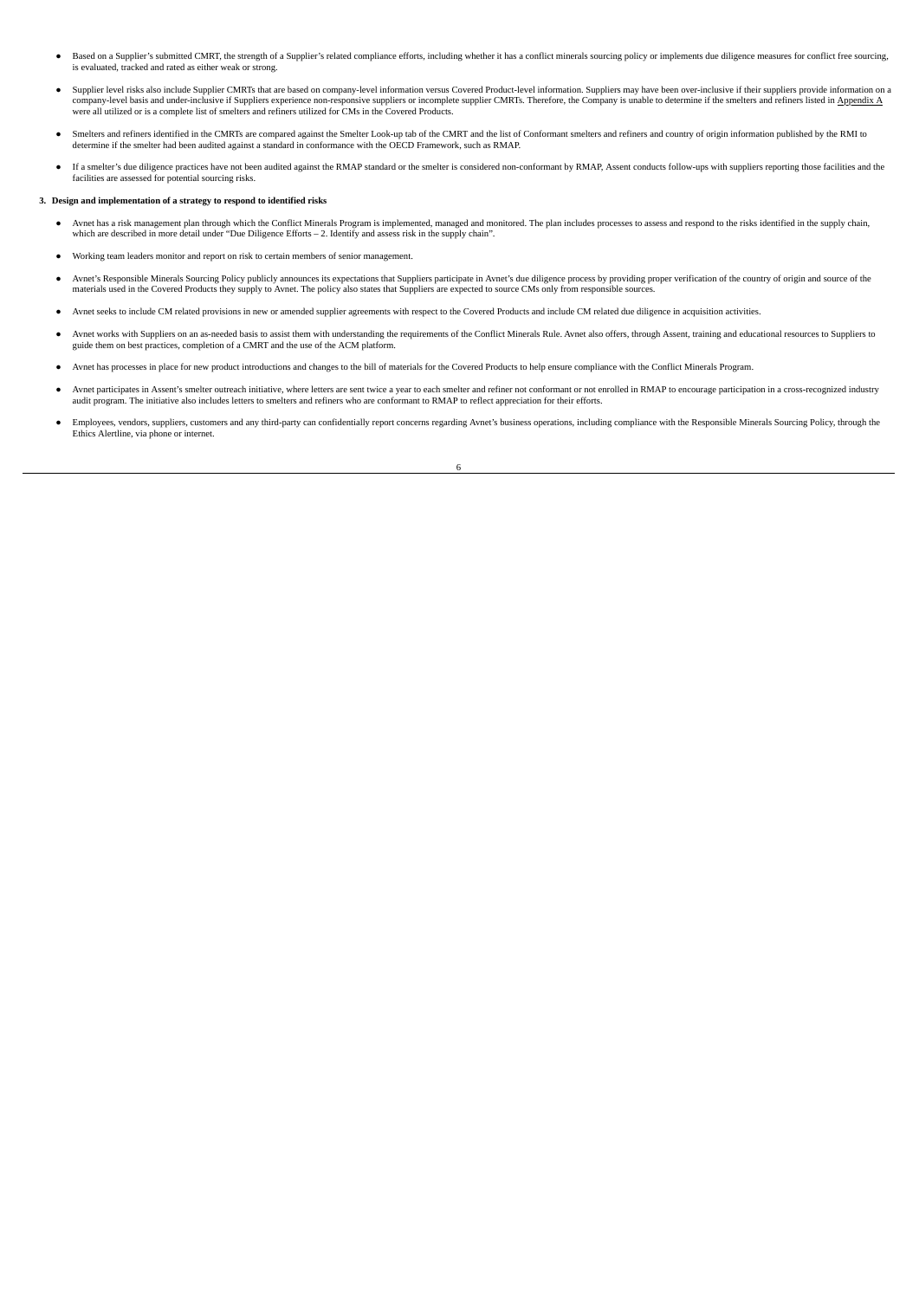- Based on a Supplier's submitted CMRT, the strength of a Supplier's related compliance efforts, including whether it has a conflict minerals sourcing policy or implements due diligence measures for conflict free sourcing, is evaluated, tracked and rated as either weak or strong.
- Supplier level risks also include Supplier CMRTs that are based on company-level information versus Covered Product-level information. Suppliers may have been over-inclusive if their suppliers provide information on a company-level basis and under-inclusive if Suppliers experience non-responsive suppliers or incomplete supplier CMRTs. Therefore, the Company is unable to determine if the smelters and refiners listed in <u>Appendix A</u><br>were
- Smelters and refiners identified in the CMRTs are compared against the Smelter Look-up tab of the CMRT and the list of Conformant smelters and refiners and country of origin information published by the RMI to determine if the smelter had been audited against a standard in conformance with the OECD Framework, such as RMAP.
- If a smelter's due diligence practices have not been audited against the RMAP standard or the smelter is considered non-conformant by RMAP, Assent conducts follow-ups with suppliers reporting those facilities and the facil

#### **3. Design and implementation of a strategy to respond to identified risks**

- Avnet has a risk management plan through which the Conflict Minerals Program is implemented, managed and monitored. The plan includes processes to assess and respond to the risks identified in the supply chain, which are described in more detail under "Due Diligence Efforts – 2. Identify and assess risk in the supply chain".
- Working team leaders monitor and report on risk to certain members of senior management.
- Avnet's Responsible Minerals Sourcing Policy publicly announces its expectations that Suppliers participate in Avnet's due diligence process by providing proper verification of the country of origin and source of the materials used in the Covered Products they supply to Avnet. The policy also states that Suppliers are expected to source CMs only from responsible sources.
- Avnet seeks to include CM related provisions in new or amended supplier agreements with respect to the Covered Products and include CM related due diligence in acquisition activities.
- Avnet works with Suppliers on an as-needed basis to assist them with understanding the requirements of the Conflict Minerals Rule. Avnet also offers, through Assent, training and educational resources to Suppliers to guide them on best practices, completion of a CMRT and the use of the ACM platform.
- Avnet has processes in place for new product introductions and changes to the bill of materials for the Covered Products to help ensure compliance with the Conflict Minerals Program.
- Avnet participates in Assent's smelter outreach initiative, where letters are sent twice a year to each smelter and refiner not conformant or not enrolled in RMAP to encourage participation in a cross-recognized industry audit program. The initiative also includes letters to smelters and refiners who are conformant to RMAP to reflect appreciation for their efforts.
- Employees, vendors, suppliers, customers and any third-party can confidentially report concerns regarding Avnet's business operations, including compliance with the Responsible Minerals Sourcing Policy, through the Ethics Alertline, via phone or internet.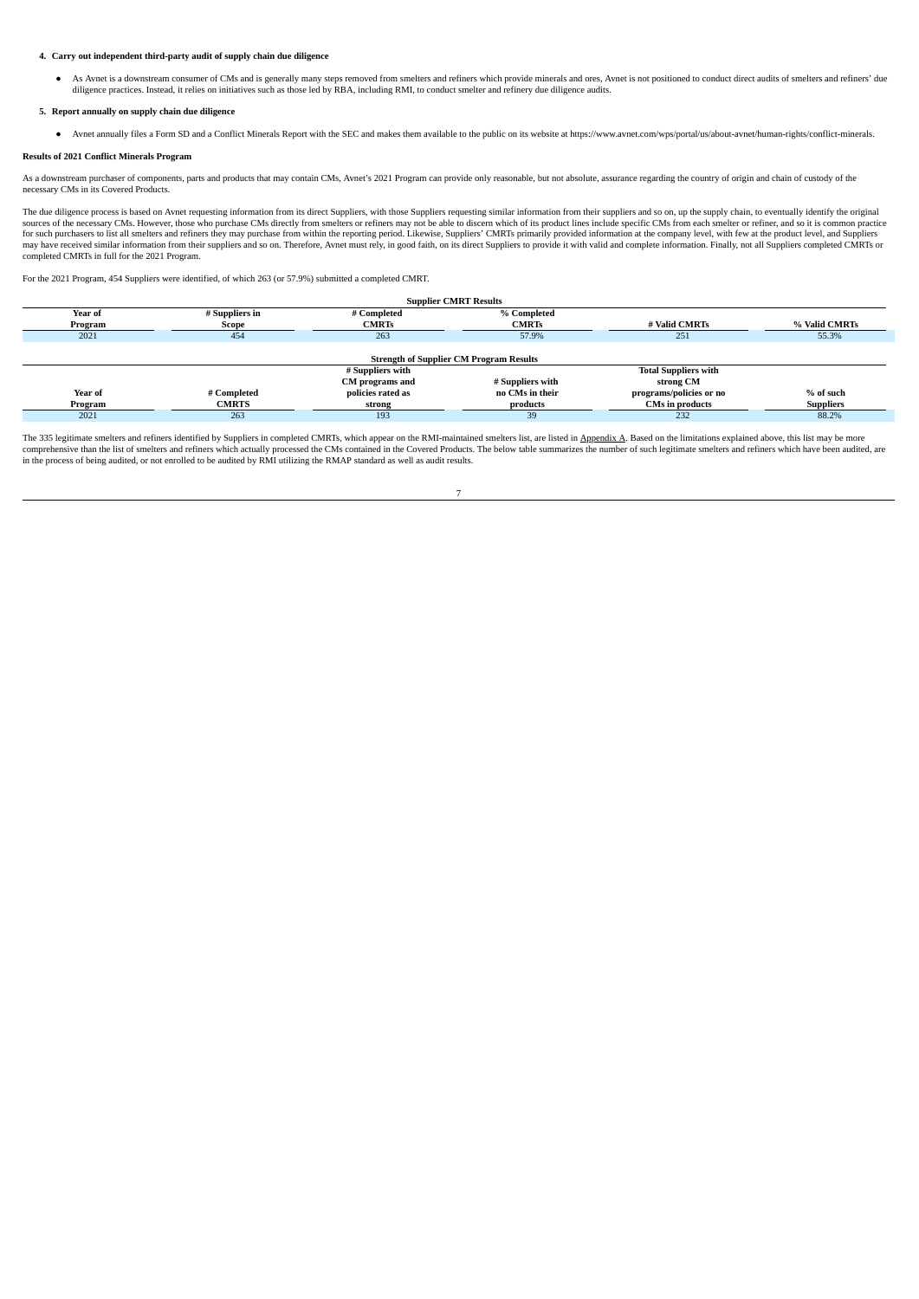# **4. Carry out independent third-party audit of supply chain due diligence**

As Avnet is a downstream consumer of CMs and is generally many steps removed from smelters and refiners which provide minerals and ores, Avnet is not positioned to conduct direct audits of smelters and refiners' due dilgen

# **5. Report annually on supply chain due diligence**

● Avnet annually files a Form SD and a Conflict Minerals Report with the SEC and makes them available to the public on its website at https://www.avnet.com/wps/portal/us/about-avnet/human-rights/conflict-minerals.

#### **Results of 2021 Conflict Minerals Program**

As a downstream purchaser of components, parts and products that may contain CMs, Avnet's 2021 Program can provide only reasonable, but not absolute, assurance regarding the country of origin and chain of custody of the necessary CMs in its Covered Products.

The due diligence process is based on Avnet requesting information from its direct Suppliers, with those Suppliers requesting similar information from their suppliers and so on, up the supply chain, to eventually identify sources of the necessary CMs. However, those who purchase CMs directly from smelters or refiners may not be able to discern which of its product lines include specific CMs from each smelter or refiner, and so it is common may have received similar information from their suppliers and so on. Therefore, Avnet must rely, in good faith, on its direct Suppliers to provide it with valid and complete information. Finally, not all Suppliers complet

For the 2021 Program, 454 Suppliers were identified, of which 263 (or 57.9%) submitted a completed CMRT.

| <b>Supplier CMRT Results</b> |                |                                                |                  |                             |                  |
|------------------------------|----------------|------------------------------------------------|------------------|-----------------------------|------------------|
| Year of                      | # Suppliers in | # Completed                                    | % Completed      |                             |                  |
| Program                      | Scope          | <b>CMRTs</b>                                   | <b>CMRTs</b>     | # Valid CMRTs               | % Valid CMRTs    |
| 2021                         | 454            | 263                                            | 57.9%            | 251                         | 55.3%            |
|                              |                |                                                |                  |                             |                  |
|                              |                | <b>Strength of Supplier CM Program Results</b> |                  |                             |                  |
|                              |                | # Suppliers with                               |                  | <b>Total Suppliers with</b> |                  |
|                              |                | CM programs and                                | # Suppliers with | strong CM                   |                  |
| Year of                      | # Completed    | policies rated as                              | no CMs in their  | programs/policies or no     | % of such        |
| Program                      | <b>CMRTS</b>   | strong                                         | products         | <b>CMs in products</b>      | <b>Suppliers</b> |
| 2021                         | 263            | 193                                            | 39               | 232                         | 88.2%            |

The 335 legitimate smelters and refiners identified by Suppliers in completed CMRTs, which appear on the RMI-maintained smelters list, are listed in Appendix A. Based on the limitations explained above, this list may be mo comprehensive than the list of smelters and refiners which actually processed the CMs contained in the Covered Products. The below table summarizes the number of such legitimate smelters and refiners which have been audite

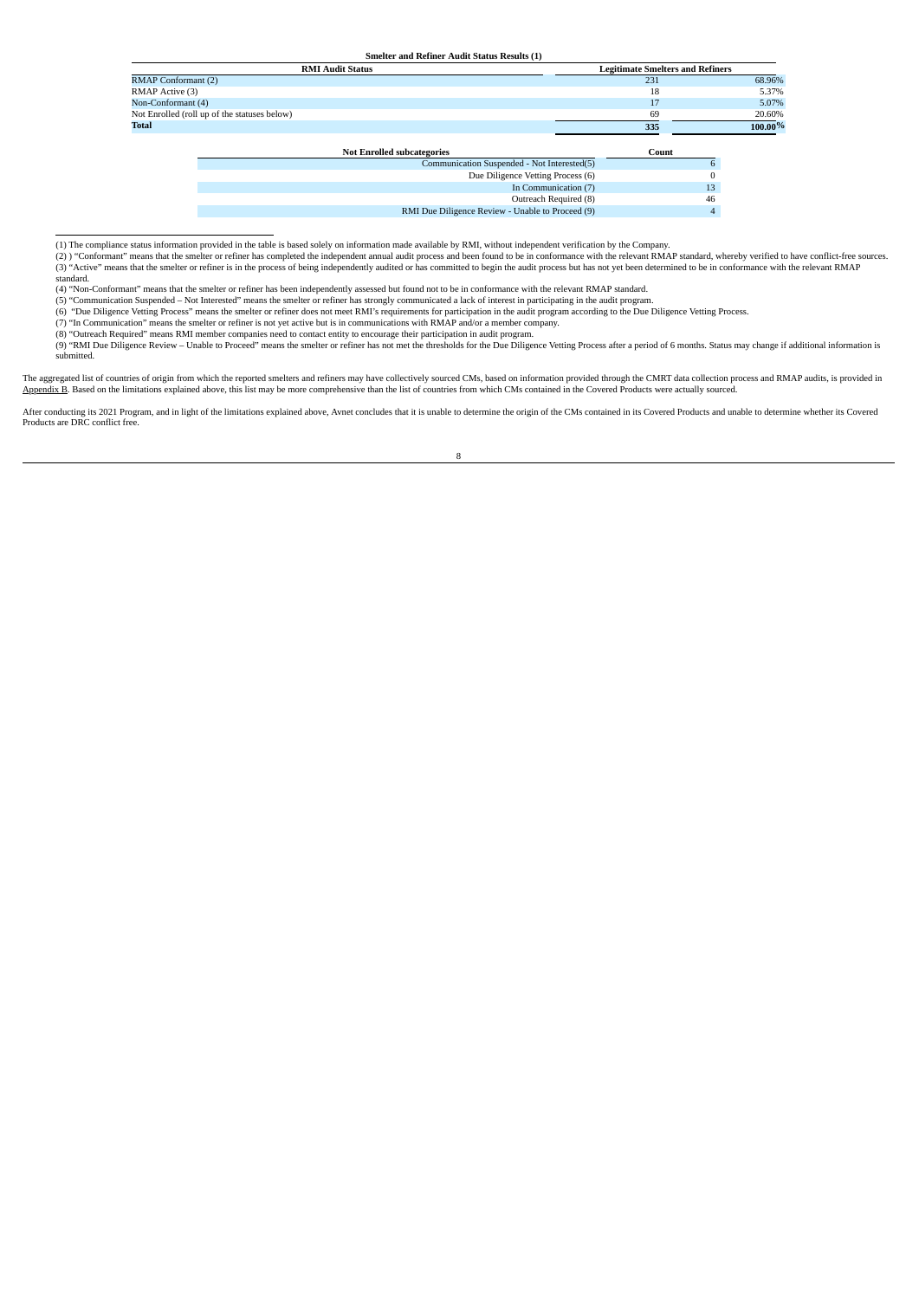**Smelter and Refiner Audit Status Results (1)**

|                            | <u>Umerce and eccurer require utilized ecounty (2)</u> |                                         |                |         |
|----------------------------|--------------------------------------------------------|-----------------------------------------|----------------|---------|
|                            | <b>RMI Audit Status</b>                                | <b>Legitimate Smelters and Refiners</b> |                |         |
| <b>RMAP Conformant (2)</b> |                                                        | 231                                     |                | 68.96%  |
| RMAP Active (3)            |                                                        | 18                                      |                | 5.37%   |
| Non-Conformant (4)         |                                                        |                                         |                | 5.07%   |
|                            | Not Enrolled (roll up of the statuses below)           | 69                                      |                | 20.60%  |
| <b>Total</b>               |                                                        | 335                                     |                | 100.00% |
|                            |                                                        |                                         |                |         |
|                            | <b>Not Enrolled subcategories</b>                      | Count                                   |                |         |
|                            | Communication Suspended - Not Interested(5)            |                                         |                |         |
|                            | Due Diligence Vetting Process (6)                      |                                         |                |         |
|                            | In Communication (7)                                   |                                         | 13             |         |
|                            | Outreach Required (8)                                  |                                         | 46             |         |
|                            | RMI Due Diligence Review - Unable to Proceed (9)       |                                         | $\overline{4}$ |         |

(1) The compliance status information provided in the table is based solely on information made available by RMI, without independent verification by the Company.<br>(2) ) "Conformant" means that the smelter or refiner has co (3) "Active" means that the smelter or refiner is in the process of being independently audited or has committed to begin the audit process but has not yet been determined to be in conformance with the relevant RMAP standard.

(4) "Non-Conformant" means that the smelter or refiner has been independently assessed but found not to be in conformance with the relevant RMAP standard.

(5) "Communication Suspended – Not Interested" means the smelter or refiner has strongly communicated a lack of interest in participating in the audit program.<br>(6) "Due Diligence Vetting Process" means the smelter or refi

(7) "In Communication" means the smelter or refiner is not yet active but is in communications with RMAP and/or a member company.<br>(8) "Outreach Required" means RMI member companies need to contact entity to encourage their

(9) "RMI Due Diligence Review – Unable to Proceed" means the smelter or refiner has not met the thresholds for the Due Diligence Vetting Process after a period of 6 months. Status may change if additional information is submitted.

The aggregated list of countries of origin from which the reported smelters and refiners may have collectively sourced CMs, based on information provided through the CMRT data collection process and RMAP audits, is provide

After conducting its 2021 Program, and in light of the limitations explained above, Avnet concludes that it is unable to determine the origin of the CMs contained in its Covered Products and unable to determine whether its Products are DRC conflict free.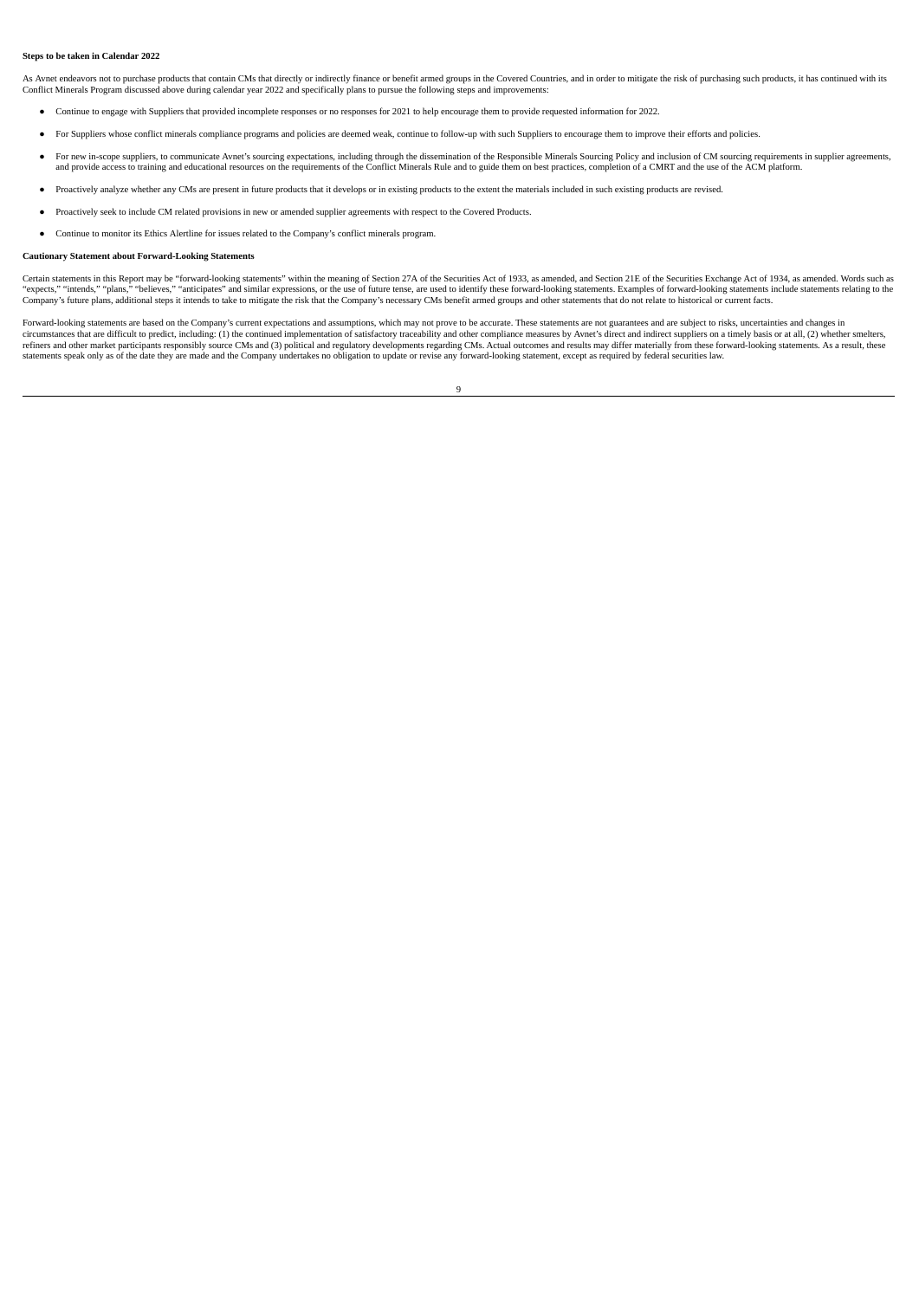#### **Steps to be taken in Calendar 2022**

As Avnet endeavors not to purchase products that contain CMs that directly or indirectly finance or benefit armed groups in the Covered Countries, and in order to mitigate the risk of purchasing such products, it has conti Conflict Minerals Program discussed above during calendar year 2022 and specifically plans to pursue the following steps and improvements:

- Continue to engage with Suppliers that provided incomplete responses or no responses for 2021 to help encourage them to provide requested information for 2022.
- For Suppliers whose conflict minerals compliance programs and policies are deemed weak, continue to follow-up with such Suppliers to encourage them to improve their efforts and policies.
- For new in-scope suppliers, to communicate Avnet's sourcing expectations, including through the dissemination of the Responsible Minerals Sourcing Policy and inclusion of CM sourcing requirements in supplier agreements,
- Proactively analyze whether any CMs are present in future products that it develops or in existing products to the extent the materials included in such existing products are revised.
- Proactively seek to include CM related provisions in new or amended supplier agreements with respect to the Covered Products.
- Continue to monitor its Ethics Alertline for issues related to the Company's conflict minerals program.

#### **Cautionary Statement about Forward-Looking Statements**

Certain statements in this Report may be "forward-looking statements" within the meaning of Section 27A of the Securities Act of 1933, as amended, and Section 21E of the Securities Exchange Act of 1934, as amended. Words s "expects," "intends," "plans," "believes," "anticipates" and similar expressions, or the use of future tense, are used to identify these forward-looking statements. Examples of forward-looking statements include statements Company's future plans, additional steps it intends to take to mitigate the risk that the Company's necessary CMs benefit armed groups and other statements that do not relate to historical or current facts.

Forward-looking statements are based on the Company's current expectations and assumptions, which may not prove to be accurate. These statements are not guarantees and are subject to risks, uncertainties and changes in<br>cir refiners and other market participants responsibly source CMs and (3) political and regulatory developments regarding CMs. Actual outcomes and results may differ materially from these forward-looking statements. As a resul

 $\overline{9}$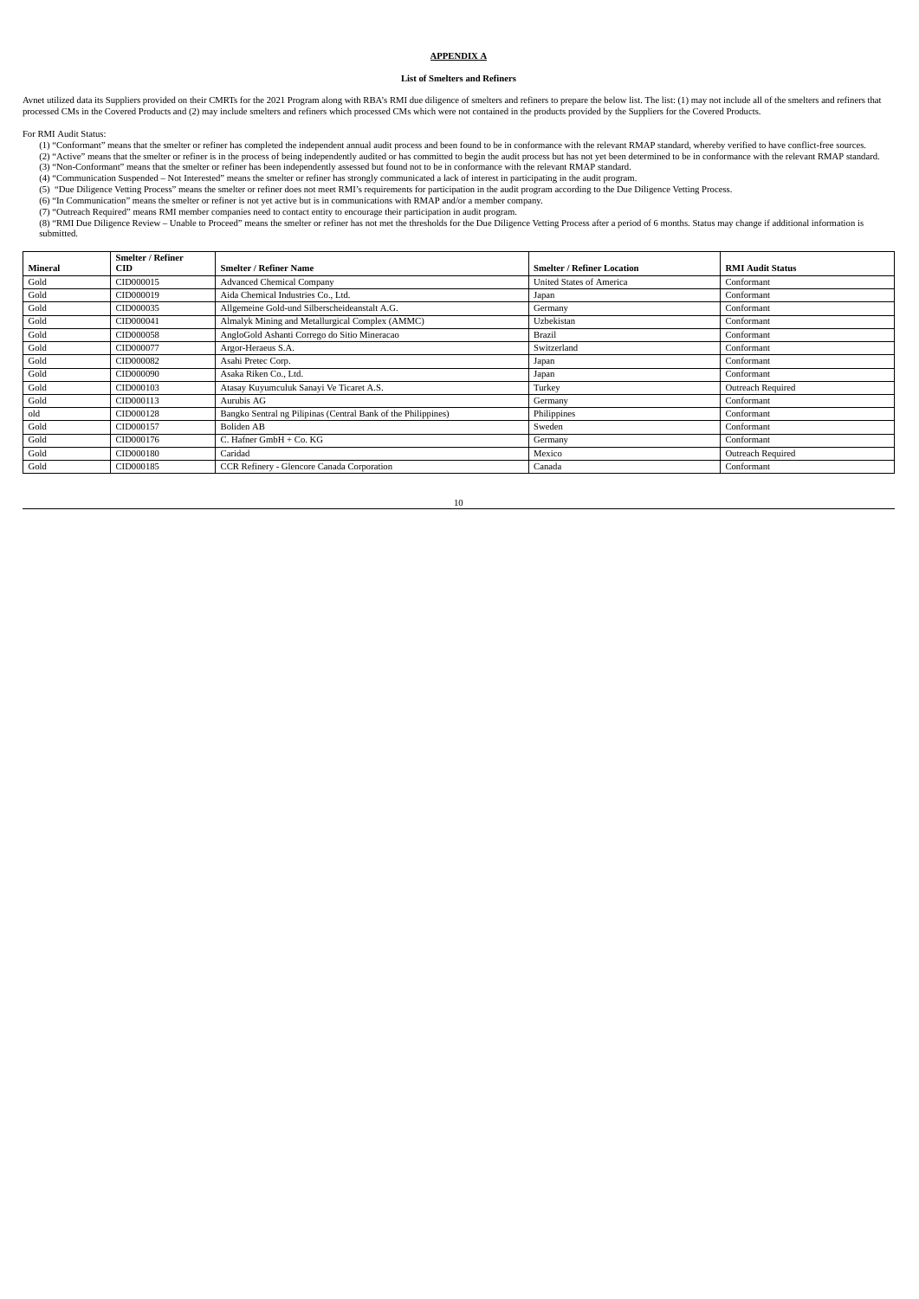# **APPENDIX A**

# **List of Smelters and Refiners**

Avnet utilized data its Suppliers provided on their CMRTs for the 2021 Program along with RBA's RMI due diligence of smelters and refiners to prepare the below list. The list: (1) may not include all of the smelters and re

For RMI Audit Status:

(1) "Conformant" means that the smelter or refiner has completed the independent annual audit process and been found to be in conformance with the relevant RMAP standard, whereby verified to have conflict-free sources.<br>(2)

- (5) "Due Diligence Vetting Process" means the smelter or refiner does not meet RMI's requirements for participation in the audit program according to the Due Diligence Vetting Process.<br>(6) "In Communication" means the smel
- 

(7) "Outreach Required" means RMI member companies need to contact entity to encourage their participation in audit program.<br>(8) "RMI Due Diligence Review – Unable to Proceed" means the smelter or refiner has not met the t submitted.

|                | <b>Smelter / Refiner</b> |                                                               |                                   |                         |
|----------------|--------------------------|---------------------------------------------------------------|-----------------------------------|-------------------------|
| <b>Mineral</b> | <b>CID</b>               | <b>Smelter / Refiner Name</b>                                 | <b>Smelter / Refiner Location</b> | <b>RMI Audit Status</b> |
| Gold           | CID000015                | <b>Advanced Chemical Company</b>                              | <b>United States of America</b>   | Conformant              |
| Gold           | CID000019                | Aida Chemical Industries Co., Ltd.                            | Japan                             | Conformant              |
| Gold           | CID000035                | Allgemeine Gold-und Silberscheideanstalt A.G.                 | Germany                           | Conformant              |
| Gold           | CID000041                | Almalyk Mining and Metallurgical Complex (AMMC)               | Uzbekistan                        | Conformant              |
| Gold           | CID000058                | AngloGold Ashanti Corrego do Sitio Mineracao                  | <b>Brazil</b>                     | Conformant              |
| Gold           | CID000077                | Argor-Heraeus S.A.                                            | Switzerland                       | Conformant              |
| Gold           | CID000082                | Asahi Pretec Corp.                                            | Japan                             | Conformant              |
| Gold           | CID000090                | Asaka Riken Co., Ltd.                                         | Japan                             | Conformant              |
| Gold           | CID000103                | Atasay Kuyumculuk Sanayi Ve Ticaret A.S.                      | Turkey                            | Outreach Required       |
| Gold           | CID000113                | Aurubis AG                                                    | Germany                           | Conformant              |
| old            | CID000128                | Bangko Sentral ng Pilipinas (Central Bank of the Philippines) | Philippines                       | Conformant              |
| Gold           | CID000157                | <b>Boliden AB</b>                                             | Sweden                            | Conformant              |
| Gold           | CID000176                | C. Hafner GmbH + Co. KG                                       | Germany                           | Conformant              |
| Gold           | CID000180                | Caridad                                                       | Mexico                            | Outreach Required       |
| Gold           | CID000185                | CCR Refinery - Glencore Canada Corporation                    | Canada                            | Conformant              |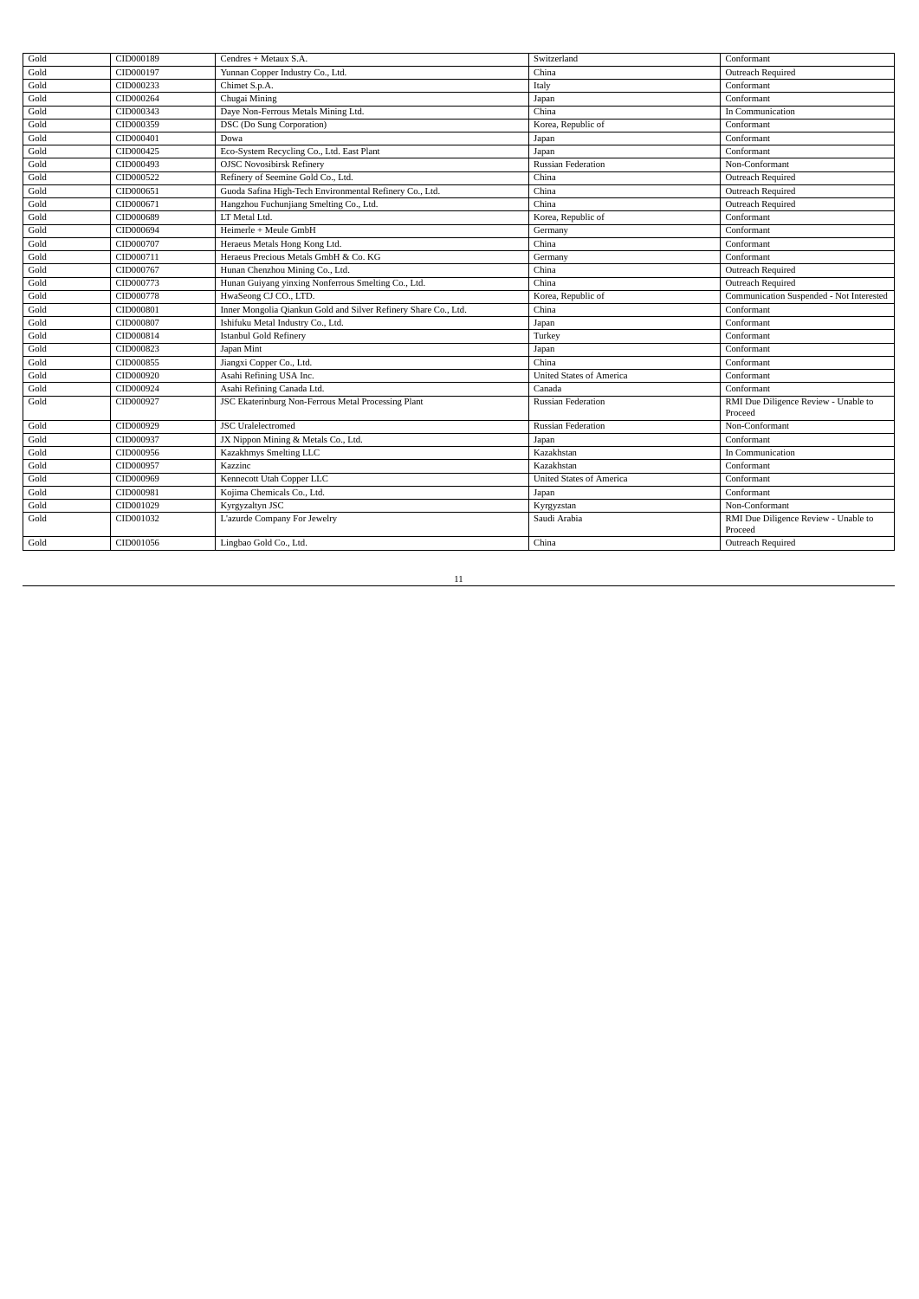| Gold | CID000189 | Cendres + Metaux S.A.                                           | Switzerland                     | Conformant                                      |
|------|-----------|-----------------------------------------------------------------|---------------------------------|-------------------------------------------------|
| Gold | CID000197 | Yunnan Copper Industry Co., Ltd.                                | China                           | Outreach Required                               |
| Gold | CID000233 | Chimet S.p.A.                                                   | Italy                           | Conformant                                      |
| Gold | CID000264 | Chugai Mining                                                   | Japan                           | Conformant                                      |
| Gold | CID000343 | Daye Non-Ferrous Metals Mining Ltd.                             | China                           | In Communication                                |
| Gold | CID000359 | DSC (Do Sung Corporation)                                       | Korea, Republic of              | Conformant                                      |
| Gold | CID000401 | Dowa                                                            | Japan                           | Conformant                                      |
| Gold | CID000425 | Eco-System Recycling Co., Ltd. East Plant                       | Japan                           | Conformant                                      |
| Gold | CID000493 | <b>OJSC Novosibirsk Refinery</b>                                | <b>Russian Federation</b>       | Non-Conformant                                  |
| Gold | CID000522 | Refinery of Seemine Gold Co., Ltd.                              | China                           | Outreach Required                               |
| Gold | CID000651 | Guoda Safina High-Tech Environmental Refinery Co., Ltd.         | China                           | Outreach Required                               |
| Gold | CID000671 | Hangzhou Fuchunjiang Smelting Co., Ltd.                         | China                           | Outreach Required                               |
| Gold | CID000689 | LT Metal Ltd.                                                   | Korea, Republic of              | Conformant                                      |
| Gold | CID000694 | Heimerle + Meule GmbH                                           | Germany                         | Conformant                                      |
| Gold | CID000707 | Heraeus Metals Hong Kong Ltd.                                   | China                           | Conformant                                      |
| Gold | CID000711 | Heraeus Precious Metals GmbH & Co. KG                           | Germany                         | Conformant                                      |
| Gold | CID000767 | Hunan Chenzhou Mining Co., Ltd.                                 | China                           | Outreach Required                               |
| Gold | CID000773 | Hunan Guiyang yinxing Nonferrous Smelting Co., Ltd.             | China                           | Outreach Required                               |
| Gold | CID000778 | HwaSeong CJ CO., LTD.                                           | Korea, Republic of              | Communication Suspended - Not Interested        |
| Gold | CID000801 | Inner Mongolia Qiankun Gold and Silver Refinery Share Co., Ltd. | China                           | Conformant                                      |
| Gold | CID000807 | Ishifuku Metal Industry Co., Ltd.                               | Japan                           | Conformant                                      |
| Gold | CID000814 | <b>Istanbul Gold Refinery</b>                                   | Turkey                          | Conformant                                      |
| Gold | CID000823 | Japan Mint                                                      | Japan                           | Conformant                                      |
| Gold | CID000855 | Jiangxi Copper Co., Ltd.                                        | China                           | Conformant                                      |
| Gold | CID000920 | Asahi Refining USA Inc.                                         | <b>United States of America</b> | Conformant                                      |
| Gold | CID000924 | Asahi Refining Canada Ltd.                                      | Canada                          | Conformant                                      |
| Gold | CID000927 | JSC Ekaterinburg Non-Ferrous Metal Processing Plant             | <b>Russian Federation</b>       | RMI Due Diligence Review - Unable to<br>Proceed |
| Gold | CID000929 | <b>JSC</b> Uralelectromed                                       | <b>Russian Federation</b>       | Non-Conformant                                  |
| Gold | CID000937 | JX Nippon Mining & Metals Co., Ltd.                             | Japan                           | Conformant                                      |
| Gold | CID000956 | Kazakhmys Smelting LLC                                          | Kazakhstan                      | In Communication                                |
| Gold | CID000957 | Kazzinc                                                         | Kazakhstan                      | Conformant                                      |
| Gold | CID000969 | Kennecott Utah Copper LLC                                       | <b>United States of America</b> | Conformant                                      |
| Gold | CID000981 | Kojima Chemicals Co., Ltd.                                      | Japan                           | Conformant                                      |
| Gold | CID001029 | Kyrgyzaltyn JSC                                                 | Kyrgyzstan                      | Non-Conformant                                  |
| Gold | CID001032 | L'azurde Company For Jewelry                                    | Saudi Arabia                    | RMI Due Diligence Review - Unable to<br>Proceed |
| Gold | CID001056 | Lingbao Gold Co., Ltd.                                          | China                           | Outreach Required                               |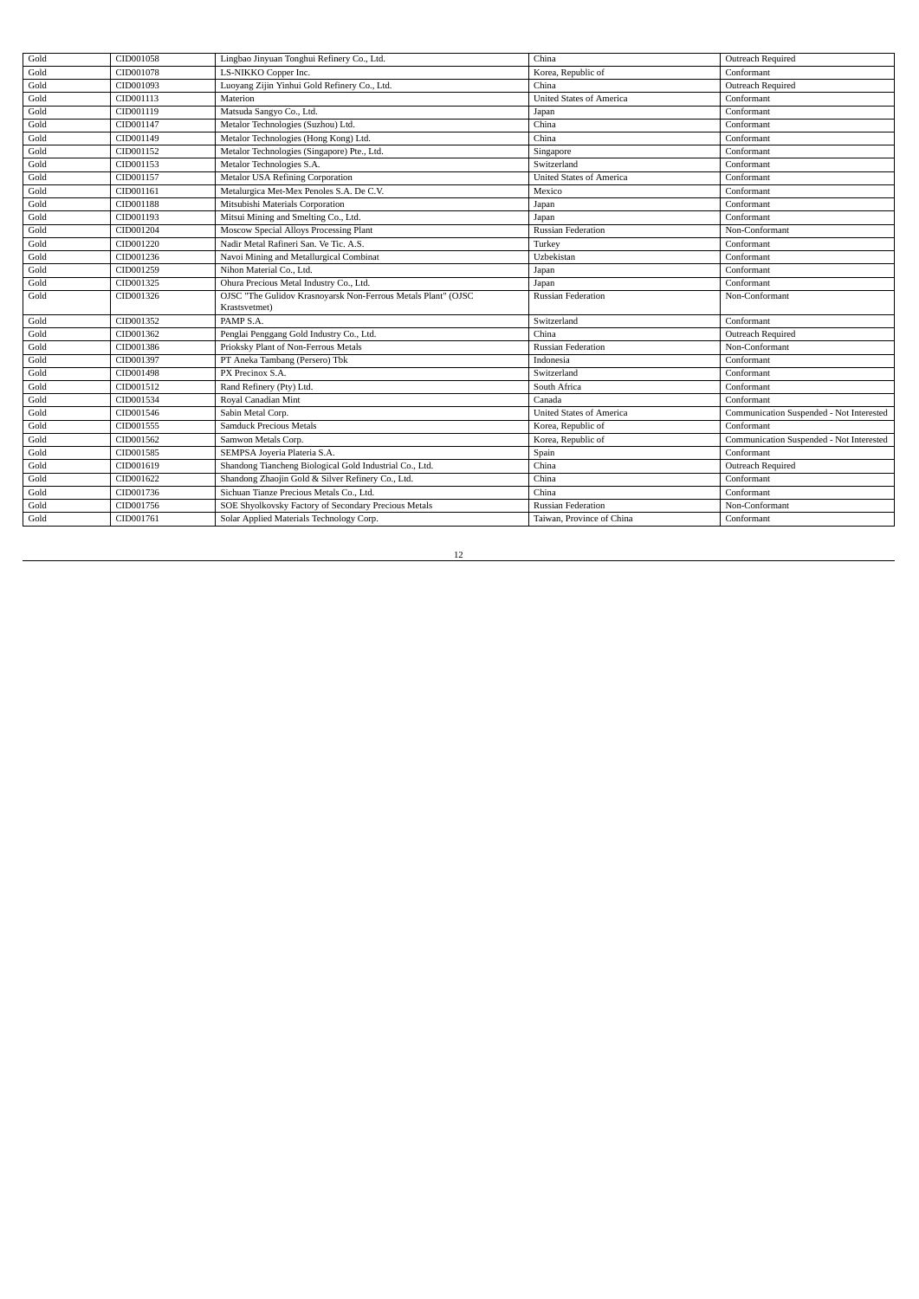| Gold<br>LS-NIKKO Copper Inc.<br>CID001078<br>Korea, Republic of<br>Conformant<br>Gold<br>CID001093<br>Luoyang Zijin Yinhui Gold Refinery Co., Ltd.<br>Outreach Required<br>China<br>Gold<br><b>United States of America</b><br>Conformant<br>CID001113<br>Materion<br>Gold<br>CID001119<br>Matsuda Sangyo Co., Ltd.<br>Conformant<br>Japan<br>Gold<br>Metalor Technologies (Suzhou) Ltd.<br>Conformant<br>CID001147<br>China<br>Gold<br>CID001149<br>Metalor Technologies (Hong Kong) Ltd.<br>Conformant<br>China<br>Gold<br>CID001152<br>Metalor Technologies (Singapore) Pte., Ltd.<br>Conformant<br>Singapore<br>Gold<br>CID001153<br>Metalor Technologies S.A.<br>Switzerland<br>Conformant<br>Gold<br>Metalor USA Refining Corporation<br>CID001157<br><b>United States of America</b><br>Conformant<br>Gold<br>CID001161<br>Metalurgica Met-Mex Penoles S.A. De C.V.<br>Mexico<br>Conformant<br>Gold<br>Mitsubishi Materials Corporation<br>CID001188<br>Conformant<br>Japan<br>Gold<br>Mitsui Mining and Smelting Co., Ltd.<br>CID001193<br>Conformant<br>Japan<br>Gold<br>Moscow Special Alloys Processing Plant<br>CID001204<br>Non-Conformant<br><b>Russian Federation</b><br>Gold<br>Nadir Metal Rafineri San. Ve Tic. A.S.<br>CID001220<br>Conformant<br>Turkey<br>Gold<br>CID001236<br>Navoi Mining and Metallurgical Combinat<br>Uzbekistan<br>Conformant<br>Gold<br>CID001259<br>Nihon Material Co., Ltd.<br>Conformant<br>Japan<br>Gold<br>Ohura Precious Metal Industry Co., Ltd.<br>CID001325<br>Conformant<br>Japan<br>Gold<br>OJSC "The Gulidov Krasnoyarsk Non-Ferrous Metals Plant" (OJSC<br>CID001326<br><b>Russian Federation</b><br>Non-Conformant<br>Krastsvetmet)<br>CID001352<br>PAMP S.A.<br>Gold<br>Conformant<br>Switzerland<br>Gold<br>CID001362<br>Penglai Penggang Gold Industry Co., Ltd.<br>China<br>Outreach Required<br>Prioksky Plant of Non-Ferrous Metals<br>Gold<br>CID001386<br>Non-Conformant<br><b>Russian Federation</b><br>Gold<br>CID001397<br>PT Aneka Tambang (Persero) Tbk<br>Indonesia<br>Conformant<br>Gold<br>CID001498<br>PX Precinox S.A.<br>Switzerland<br>Conformant<br>Gold<br>CID001512<br>Rand Refinery (Pty) Ltd.<br>South Africa<br>Conformant<br>Gold<br>CID001534<br>Royal Canadian Mint<br>Conformant<br>Canada<br>Gold<br>CID001546<br>Sabin Metal Corp.<br><b>United States of America</b><br>Communication Suspended - Not Interested<br>Gold<br>Conformant<br>CID001555<br><b>Samduck Precious Metals</b><br>Korea, Republic of<br>Gold<br>CID001562<br>Korea, Republic of<br>Communication Suspended - Not Interested<br>Samwon Metals Corp.<br>Gold<br>SEMPSA Joyeria Plateria S.A.<br>CID001585<br>Spain<br>Conformant<br>Gold<br>Shandong Tiancheng Biological Gold Industrial Co., Ltd.<br>CID001619<br>Outreach Required<br>China<br>Shandong Zhaojin Gold & Silver Refinery Co., Ltd.<br>Gold<br>CID001622<br>China<br>Conformant<br>Gold<br>CID001736<br>Sichuan Tianze Precious Metals Co., Ltd.<br>Conformant<br>China<br>Gold<br>CID001756<br>SOE Shyolkovsky Factory of Secondary Precious Metals<br><b>Russian Federation</b><br>Non-Conformant<br>Gold<br>Solar Applied Materials Technology Corp.<br>Taiwan, Province of China<br>Conformant<br>CID001761 | Gold | CID001058 | Lingbao Jinyuan Tonghui Refinery Co., Ltd. | China | Outreach Required |
|------------------------------------------------------------------------------------------------------------------------------------------------------------------------------------------------------------------------------------------------------------------------------------------------------------------------------------------------------------------------------------------------------------------------------------------------------------------------------------------------------------------------------------------------------------------------------------------------------------------------------------------------------------------------------------------------------------------------------------------------------------------------------------------------------------------------------------------------------------------------------------------------------------------------------------------------------------------------------------------------------------------------------------------------------------------------------------------------------------------------------------------------------------------------------------------------------------------------------------------------------------------------------------------------------------------------------------------------------------------------------------------------------------------------------------------------------------------------------------------------------------------------------------------------------------------------------------------------------------------------------------------------------------------------------------------------------------------------------------------------------------------------------------------------------------------------------------------------------------------------------------------------------------------------------------------------------------------------------------------------------------------------------------------------------------------------------------------------------------------------------------------------------------------------------------------------------------------------------------------------------------------------------------------------------------------------------------------------------------------------------------------------------------------------------------------------------------------------------------------------------------------------------------------------------------------------------------------------------------------------------------------------------------------------------------------------------------------------------------------------------------------------------------------------------------------------------------------------------------------------------------------------------------------------------------------------------------------------------------------------------------------------------------------------------------------------------------------------------------------------------------------------------------------------------------------------------------------------------------------------|------|-----------|--------------------------------------------|-------|-------------------|
|                                                                                                                                                                                                                                                                                                                                                                                                                                                                                                                                                                                                                                                                                                                                                                                                                                                                                                                                                                                                                                                                                                                                                                                                                                                                                                                                                                                                                                                                                                                                                                                                                                                                                                                                                                                                                                                                                                                                                                                                                                                                                                                                                                                                                                                                                                                                                                                                                                                                                                                                                                                                                                                                                                                                                                                                                                                                                                                                                                                                                                                                                                                                                                                                                                                |      |           |                                            |       |                   |
|                                                                                                                                                                                                                                                                                                                                                                                                                                                                                                                                                                                                                                                                                                                                                                                                                                                                                                                                                                                                                                                                                                                                                                                                                                                                                                                                                                                                                                                                                                                                                                                                                                                                                                                                                                                                                                                                                                                                                                                                                                                                                                                                                                                                                                                                                                                                                                                                                                                                                                                                                                                                                                                                                                                                                                                                                                                                                                                                                                                                                                                                                                                                                                                                                                                |      |           |                                            |       |                   |
|                                                                                                                                                                                                                                                                                                                                                                                                                                                                                                                                                                                                                                                                                                                                                                                                                                                                                                                                                                                                                                                                                                                                                                                                                                                                                                                                                                                                                                                                                                                                                                                                                                                                                                                                                                                                                                                                                                                                                                                                                                                                                                                                                                                                                                                                                                                                                                                                                                                                                                                                                                                                                                                                                                                                                                                                                                                                                                                                                                                                                                                                                                                                                                                                                                                |      |           |                                            |       |                   |
|                                                                                                                                                                                                                                                                                                                                                                                                                                                                                                                                                                                                                                                                                                                                                                                                                                                                                                                                                                                                                                                                                                                                                                                                                                                                                                                                                                                                                                                                                                                                                                                                                                                                                                                                                                                                                                                                                                                                                                                                                                                                                                                                                                                                                                                                                                                                                                                                                                                                                                                                                                                                                                                                                                                                                                                                                                                                                                                                                                                                                                                                                                                                                                                                                                                |      |           |                                            |       |                   |
|                                                                                                                                                                                                                                                                                                                                                                                                                                                                                                                                                                                                                                                                                                                                                                                                                                                                                                                                                                                                                                                                                                                                                                                                                                                                                                                                                                                                                                                                                                                                                                                                                                                                                                                                                                                                                                                                                                                                                                                                                                                                                                                                                                                                                                                                                                                                                                                                                                                                                                                                                                                                                                                                                                                                                                                                                                                                                                                                                                                                                                                                                                                                                                                                                                                |      |           |                                            |       |                   |
|                                                                                                                                                                                                                                                                                                                                                                                                                                                                                                                                                                                                                                                                                                                                                                                                                                                                                                                                                                                                                                                                                                                                                                                                                                                                                                                                                                                                                                                                                                                                                                                                                                                                                                                                                                                                                                                                                                                                                                                                                                                                                                                                                                                                                                                                                                                                                                                                                                                                                                                                                                                                                                                                                                                                                                                                                                                                                                                                                                                                                                                                                                                                                                                                                                                |      |           |                                            |       |                   |
|                                                                                                                                                                                                                                                                                                                                                                                                                                                                                                                                                                                                                                                                                                                                                                                                                                                                                                                                                                                                                                                                                                                                                                                                                                                                                                                                                                                                                                                                                                                                                                                                                                                                                                                                                                                                                                                                                                                                                                                                                                                                                                                                                                                                                                                                                                                                                                                                                                                                                                                                                                                                                                                                                                                                                                                                                                                                                                                                                                                                                                                                                                                                                                                                                                                |      |           |                                            |       |                   |
|                                                                                                                                                                                                                                                                                                                                                                                                                                                                                                                                                                                                                                                                                                                                                                                                                                                                                                                                                                                                                                                                                                                                                                                                                                                                                                                                                                                                                                                                                                                                                                                                                                                                                                                                                                                                                                                                                                                                                                                                                                                                                                                                                                                                                                                                                                                                                                                                                                                                                                                                                                                                                                                                                                                                                                                                                                                                                                                                                                                                                                                                                                                                                                                                                                                |      |           |                                            |       |                   |
|                                                                                                                                                                                                                                                                                                                                                                                                                                                                                                                                                                                                                                                                                                                                                                                                                                                                                                                                                                                                                                                                                                                                                                                                                                                                                                                                                                                                                                                                                                                                                                                                                                                                                                                                                                                                                                                                                                                                                                                                                                                                                                                                                                                                                                                                                                                                                                                                                                                                                                                                                                                                                                                                                                                                                                                                                                                                                                                                                                                                                                                                                                                                                                                                                                                |      |           |                                            |       |                   |
|                                                                                                                                                                                                                                                                                                                                                                                                                                                                                                                                                                                                                                                                                                                                                                                                                                                                                                                                                                                                                                                                                                                                                                                                                                                                                                                                                                                                                                                                                                                                                                                                                                                                                                                                                                                                                                                                                                                                                                                                                                                                                                                                                                                                                                                                                                                                                                                                                                                                                                                                                                                                                                                                                                                                                                                                                                                                                                                                                                                                                                                                                                                                                                                                                                                |      |           |                                            |       |                   |
|                                                                                                                                                                                                                                                                                                                                                                                                                                                                                                                                                                                                                                                                                                                                                                                                                                                                                                                                                                                                                                                                                                                                                                                                                                                                                                                                                                                                                                                                                                                                                                                                                                                                                                                                                                                                                                                                                                                                                                                                                                                                                                                                                                                                                                                                                                                                                                                                                                                                                                                                                                                                                                                                                                                                                                                                                                                                                                                                                                                                                                                                                                                                                                                                                                                |      |           |                                            |       |                   |
|                                                                                                                                                                                                                                                                                                                                                                                                                                                                                                                                                                                                                                                                                                                                                                                                                                                                                                                                                                                                                                                                                                                                                                                                                                                                                                                                                                                                                                                                                                                                                                                                                                                                                                                                                                                                                                                                                                                                                                                                                                                                                                                                                                                                                                                                                                                                                                                                                                                                                                                                                                                                                                                                                                                                                                                                                                                                                                                                                                                                                                                                                                                                                                                                                                                |      |           |                                            |       |                   |
|                                                                                                                                                                                                                                                                                                                                                                                                                                                                                                                                                                                                                                                                                                                                                                                                                                                                                                                                                                                                                                                                                                                                                                                                                                                                                                                                                                                                                                                                                                                                                                                                                                                                                                                                                                                                                                                                                                                                                                                                                                                                                                                                                                                                                                                                                                                                                                                                                                                                                                                                                                                                                                                                                                                                                                                                                                                                                                                                                                                                                                                                                                                                                                                                                                                |      |           |                                            |       |                   |
|                                                                                                                                                                                                                                                                                                                                                                                                                                                                                                                                                                                                                                                                                                                                                                                                                                                                                                                                                                                                                                                                                                                                                                                                                                                                                                                                                                                                                                                                                                                                                                                                                                                                                                                                                                                                                                                                                                                                                                                                                                                                                                                                                                                                                                                                                                                                                                                                                                                                                                                                                                                                                                                                                                                                                                                                                                                                                                                                                                                                                                                                                                                                                                                                                                                |      |           |                                            |       |                   |
|                                                                                                                                                                                                                                                                                                                                                                                                                                                                                                                                                                                                                                                                                                                                                                                                                                                                                                                                                                                                                                                                                                                                                                                                                                                                                                                                                                                                                                                                                                                                                                                                                                                                                                                                                                                                                                                                                                                                                                                                                                                                                                                                                                                                                                                                                                                                                                                                                                                                                                                                                                                                                                                                                                                                                                                                                                                                                                                                                                                                                                                                                                                                                                                                                                                |      |           |                                            |       |                   |
|                                                                                                                                                                                                                                                                                                                                                                                                                                                                                                                                                                                                                                                                                                                                                                                                                                                                                                                                                                                                                                                                                                                                                                                                                                                                                                                                                                                                                                                                                                                                                                                                                                                                                                                                                                                                                                                                                                                                                                                                                                                                                                                                                                                                                                                                                                                                                                                                                                                                                                                                                                                                                                                                                                                                                                                                                                                                                                                                                                                                                                                                                                                                                                                                                                                |      |           |                                            |       |                   |
|                                                                                                                                                                                                                                                                                                                                                                                                                                                                                                                                                                                                                                                                                                                                                                                                                                                                                                                                                                                                                                                                                                                                                                                                                                                                                                                                                                                                                                                                                                                                                                                                                                                                                                                                                                                                                                                                                                                                                                                                                                                                                                                                                                                                                                                                                                                                                                                                                                                                                                                                                                                                                                                                                                                                                                                                                                                                                                                                                                                                                                                                                                                                                                                                                                                |      |           |                                            |       |                   |
|                                                                                                                                                                                                                                                                                                                                                                                                                                                                                                                                                                                                                                                                                                                                                                                                                                                                                                                                                                                                                                                                                                                                                                                                                                                                                                                                                                                                                                                                                                                                                                                                                                                                                                                                                                                                                                                                                                                                                                                                                                                                                                                                                                                                                                                                                                                                                                                                                                                                                                                                                                                                                                                                                                                                                                                                                                                                                                                                                                                                                                                                                                                                                                                                                                                |      |           |                                            |       |                   |
|                                                                                                                                                                                                                                                                                                                                                                                                                                                                                                                                                                                                                                                                                                                                                                                                                                                                                                                                                                                                                                                                                                                                                                                                                                                                                                                                                                                                                                                                                                                                                                                                                                                                                                                                                                                                                                                                                                                                                                                                                                                                                                                                                                                                                                                                                                                                                                                                                                                                                                                                                                                                                                                                                                                                                                                                                                                                                                                                                                                                                                                                                                                                                                                                                                                |      |           |                                            |       |                   |
|                                                                                                                                                                                                                                                                                                                                                                                                                                                                                                                                                                                                                                                                                                                                                                                                                                                                                                                                                                                                                                                                                                                                                                                                                                                                                                                                                                                                                                                                                                                                                                                                                                                                                                                                                                                                                                                                                                                                                                                                                                                                                                                                                                                                                                                                                                                                                                                                                                                                                                                                                                                                                                                                                                                                                                                                                                                                                                                                                                                                                                                                                                                                                                                                                                                |      |           |                                            |       |                   |
|                                                                                                                                                                                                                                                                                                                                                                                                                                                                                                                                                                                                                                                                                                                                                                                                                                                                                                                                                                                                                                                                                                                                                                                                                                                                                                                                                                                                                                                                                                                                                                                                                                                                                                                                                                                                                                                                                                                                                                                                                                                                                                                                                                                                                                                                                                                                                                                                                                                                                                                                                                                                                                                                                                                                                                                                                                                                                                                                                                                                                                                                                                                                                                                                                                                |      |           |                                            |       |                   |
|                                                                                                                                                                                                                                                                                                                                                                                                                                                                                                                                                                                                                                                                                                                                                                                                                                                                                                                                                                                                                                                                                                                                                                                                                                                                                                                                                                                                                                                                                                                                                                                                                                                                                                                                                                                                                                                                                                                                                                                                                                                                                                                                                                                                                                                                                                                                                                                                                                                                                                                                                                                                                                                                                                                                                                                                                                                                                                                                                                                                                                                                                                                                                                                                                                                |      |           |                                            |       |                   |
|                                                                                                                                                                                                                                                                                                                                                                                                                                                                                                                                                                                                                                                                                                                                                                                                                                                                                                                                                                                                                                                                                                                                                                                                                                                                                                                                                                                                                                                                                                                                                                                                                                                                                                                                                                                                                                                                                                                                                                                                                                                                                                                                                                                                                                                                                                                                                                                                                                                                                                                                                                                                                                                                                                                                                                                                                                                                                                                                                                                                                                                                                                                                                                                                                                                |      |           |                                            |       |                   |
|                                                                                                                                                                                                                                                                                                                                                                                                                                                                                                                                                                                                                                                                                                                                                                                                                                                                                                                                                                                                                                                                                                                                                                                                                                                                                                                                                                                                                                                                                                                                                                                                                                                                                                                                                                                                                                                                                                                                                                                                                                                                                                                                                                                                                                                                                                                                                                                                                                                                                                                                                                                                                                                                                                                                                                                                                                                                                                                                                                                                                                                                                                                                                                                                                                                |      |           |                                            |       |                   |
|                                                                                                                                                                                                                                                                                                                                                                                                                                                                                                                                                                                                                                                                                                                                                                                                                                                                                                                                                                                                                                                                                                                                                                                                                                                                                                                                                                                                                                                                                                                                                                                                                                                                                                                                                                                                                                                                                                                                                                                                                                                                                                                                                                                                                                                                                                                                                                                                                                                                                                                                                                                                                                                                                                                                                                                                                                                                                                                                                                                                                                                                                                                                                                                                                                                |      |           |                                            |       |                   |
|                                                                                                                                                                                                                                                                                                                                                                                                                                                                                                                                                                                                                                                                                                                                                                                                                                                                                                                                                                                                                                                                                                                                                                                                                                                                                                                                                                                                                                                                                                                                                                                                                                                                                                                                                                                                                                                                                                                                                                                                                                                                                                                                                                                                                                                                                                                                                                                                                                                                                                                                                                                                                                                                                                                                                                                                                                                                                                                                                                                                                                                                                                                                                                                                                                                |      |           |                                            |       |                   |
|                                                                                                                                                                                                                                                                                                                                                                                                                                                                                                                                                                                                                                                                                                                                                                                                                                                                                                                                                                                                                                                                                                                                                                                                                                                                                                                                                                                                                                                                                                                                                                                                                                                                                                                                                                                                                                                                                                                                                                                                                                                                                                                                                                                                                                                                                                                                                                                                                                                                                                                                                                                                                                                                                                                                                                                                                                                                                                                                                                                                                                                                                                                                                                                                                                                |      |           |                                            |       |                   |
|                                                                                                                                                                                                                                                                                                                                                                                                                                                                                                                                                                                                                                                                                                                                                                                                                                                                                                                                                                                                                                                                                                                                                                                                                                                                                                                                                                                                                                                                                                                                                                                                                                                                                                                                                                                                                                                                                                                                                                                                                                                                                                                                                                                                                                                                                                                                                                                                                                                                                                                                                                                                                                                                                                                                                                                                                                                                                                                                                                                                                                                                                                                                                                                                                                                |      |           |                                            |       |                   |
|                                                                                                                                                                                                                                                                                                                                                                                                                                                                                                                                                                                                                                                                                                                                                                                                                                                                                                                                                                                                                                                                                                                                                                                                                                                                                                                                                                                                                                                                                                                                                                                                                                                                                                                                                                                                                                                                                                                                                                                                                                                                                                                                                                                                                                                                                                                                                                                                                                                                                                                                                                                                                                                                                                                                                                                                                                                                                                                                                                                                                                                                                                                                                                                                                                                |      |           |                                            |       |                   |
|                                                                                                                                                                                                                                                                                                                                                                                                                                                                                                                                                                                                                                                                                                                                                                                                                                                                                                                                                                                                                                                                                                                                                                                                                                                                                                                                                                                                                                                                                                                                                                                                                                                                                                                                                                                                                                                                                                                                                                                                                                                                                                                                                                                                                                                                                                                                                                                                                                                                                                                                                                                                                                                                                                                                                                                                                                                                                                                                                                                                                                                                                                                                                                                                                                                |      |           |                                            |       |                   |
|                                                                                                                                                                                                                                                                                                                                                                                                                                                                                                                                                                                                                                                                                                                                                                                                                                                                                                                                                                                                                                                                                                                                                                                                                                                                                                                                                                                                                                                                                                                                                                                                                                                                                                                                                                                                                                                                                                                                                                                                                                                                                                                                                                                                                                                                                                                                                                                                                                                                                                                                                                                                                                                                                                                                                                                                                                                                                                                                                                                                                                                                                                                                                                                                                                                |      |           |                                            |       |                   |
|                                                                                                                                                                                                                                                                                                                                                                                                                                                                                                                                                                                                                                                                                                                                                                                                                                                                                                                                                                                                                                                                                                                                                                                                                                                                                                                                                                                                                                                                                                                                                                                                                                                                                                                                                                                                                                                                                                                                                                                                                                                                                                                                                                                                                                                                                                                                                                                                                                                                                                                                                                                                                                                                                                                                                                                                                                                                                                                                                                                                                                                                                                                                                                                                                                                |      |           |                                            |       |                   |
|                                                                                                                                                                                                                                                                                                                                                                                                                                                                                                                                                                                                                                                                                                                                                                                                                                                                                                                                                                                                                                                                                                                                                                                                                                                                                                                                                                                                                                                                                                                                                                                                                                                                                                                                                                                                                                                                                                                                                                                                                                                                                                                                                                                                                                                                                                                                                                                                                                                                                                                                                                                                                                                                                                                                                                                                                                                                                                                                                                                                                                                                                                                                                                                                                                                |      |           |                                            |       |                   |
|                                                                                                                                                                                                                                                                                                                                                                                                                                                                                                                                                                                                                                                                                                                                                                                                                                                                                                                                                                                                                                                                                                                                                                                                                                                                                                                                                                                                                                                                                                                                                                                                                                                                                                                                                                                                                                                                                                                                                                                                                                                                                                                                                                                                                                                                                                                                                                                                                                                                                                                                                                                                                                                                                                                                                                                                                                                                                                                                                                                                                                                                                                                                                                                                                                                |      |           |                                            |       |                   |

<u> 1989 - Johann Barn, mars ar breist bestjoerde te gemeente kommen.</u>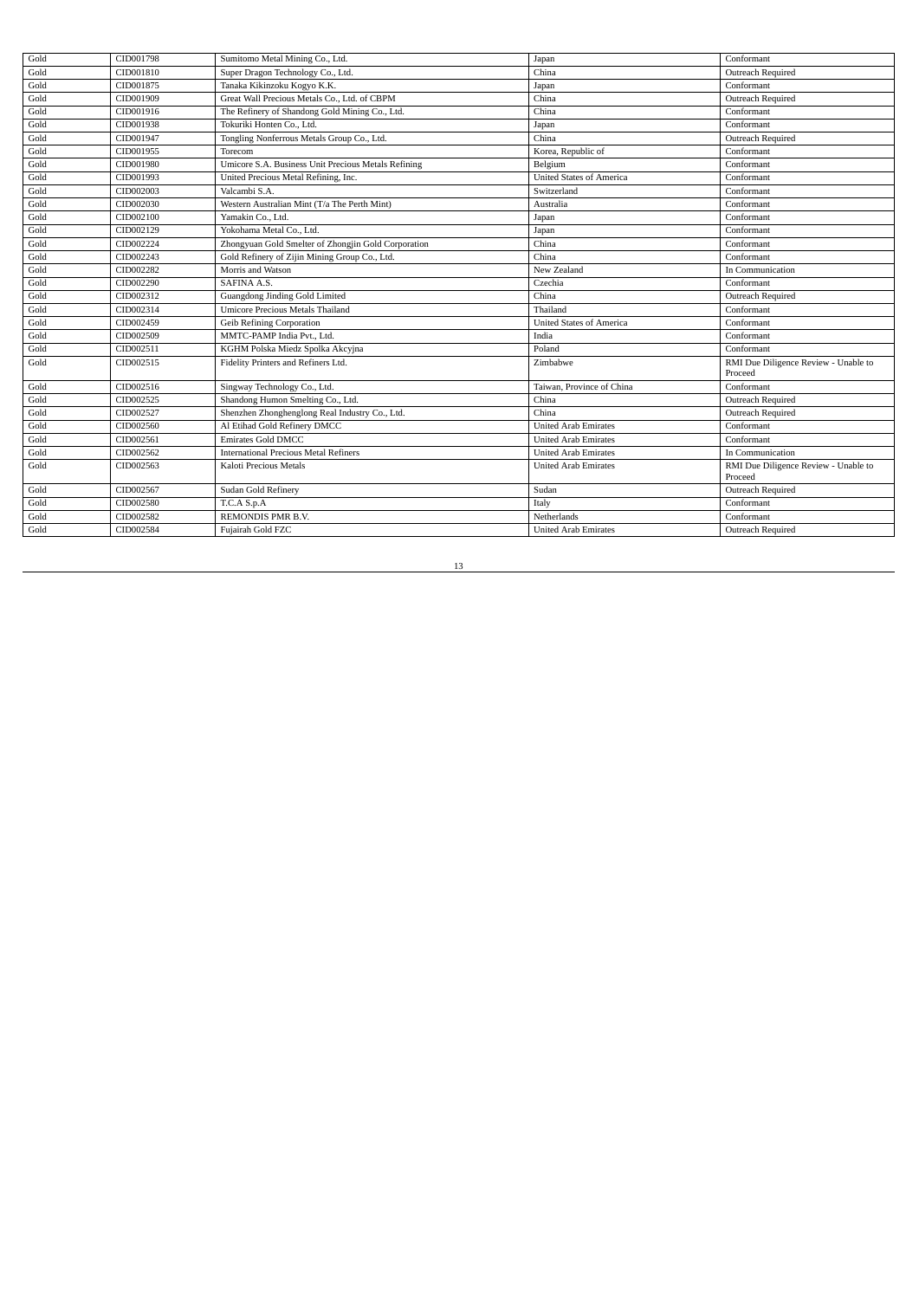| Gold | CID001798 | Sumitomo Metal Mining Co., Ltd.                     | Japan                           | Conformant                                      |
|------|-----------|-----------------------------------------------------|---------------------------------|-------------------------------------------------|
| Gold | CID001810 | Super Dragon Technology Co., Ltd.                   | China                           | Outreach Required                               |
| Gold | CID001875 | Tanaka Kikinzoku Kogyo K.K.                         | Japan                           | Conformant                                      |
| Gold | CID001909 | Great Wall Precious Metals Co., Ltd. of CBPM        | China                           | Outreach Required                               |
| Gold | CID001916 | The Refinery of Shandong Gold Mining Co., Ltd.      | China                           | Conformant                                      |
| Gold | CID001938 | Tokuriki Honten Co., Ltd.                           | Japan                           | Conformant                                      |
| Gold | CID001947 | Tongling Nonferrous Metals Group Co., Ltd.          | China                           | Outreach Required                               |
| Gold | CID001955 | Torecom                                             | Korea, Republic of              | Conformant                                      |
| Gold | CID001980 | Umicore S.A. Business Unit Precious Metals Refining | Belgium                         | Conformant                                      |
| Gold | CID001993 | United Precious Metal Refining, Inc.                | <b>United States of America</b> | Conformant                                      |
| Gold | CID002003 | Valcambi S.A.                                       | Switzerland                     | Conformant                                      |
| Gold | CID002030 | Western Australian Mint (T/a The Perth Mint)        | Australia                       | Conformant                                      |
| Gold | CID002100 | Yamakin Co., Ltd.                                   | Japan                           | Conformant                                      |
| Gold | CID002129 | Yokohama Metal Co., Ltd.                            | Japan                           | Conformant                                      |
| Gold | CID002224 | Zhongyuan Gold Smelter of Zhongjin Gold Corporation | China                           | Conformant                                      |
| Gold | CID002243 | Gold Refinery of Zijin Mining Group Co., Ltd.       | China                           | Conformant                                      |
| Gold | CID002282 | Morris and Watson                                   | New Zealand                     | In Communication                                |
| Gold | CID002290 | SAFINA A.S.                                         | Czechia                         | Conformant                                      |
| Gold | CID002312 | Guangdong Jinding Gold Limited                      | China                           | Outreach Required                               |
| Gold | CID002314 | <b>Umicore Precious Metals Thailand</b>             | Thailand                        | Conformant                                      |
| Gold | CID002459 | Geib Refining Corporation                           | <b>United States of America</b> | Conformant                                      |
| Gold | CID002509 | MMTC-PAMP India Pvt., Ltd.                          | India                           | Conformant                                      |
| Gold | CID002511 | KGHM Polska Miedz Spolka Akcyjna                    | Poland                          | Conformant                                      |
| Gold | CID002515 | Fidelity Printers and Refiners Ltd.                 | Zimbabwe                        | RMI Due Diligence Review - Unable to<br>Proceed |
| Gold | CID002516 | Singway Technology Co., Ltd.                        | Taiwan, Province of China       | Conformant                                      |
| Gold | CID002525 | Shandong Humon Smelting Co., Ltd.                   | China                           | Outreach Required                               |
| Gold | CID002527 | Shenzhen Zhonghenglong Real Industry Co., Ltd.      | China                           | Outreach Required                               |
| Gold | CID002560 | Al Etihad Gold Refinery DMCC                        | <b>United Arab Emirates</b>     | Conformant                                      |
| Gold | CID002561 | <b>Emirates Gold DMCC</b>                           | <b>United Arab Emirates</b>     | Conformant                                      |
| Gold | CID002562 | <b>International Precious Metal Refiners</b>        | <b>United Arab Emirates</b>     | In Communication                                |
| Gold | CID002563 | Kaloti Precious Metals                              | <b>United Arab Emirates</b>     | RMI Due Diligence Review - Unable to<br>Proceed |
| Gold | CID002567 | Sudan Gold Refinery                                 | Sudan                           | Outreach Required                               |
| Gold | CID002580 | T.C.A S.p.A                                         | Italy                           | Conformant                                      |
| Gold | CID002582 | REMONDIS PMR B.V.                                   | Netherlands                     | Conformant                                      |
| Gold | CID002584 | Fujairah Gold FZC                                   | <b>United Arab Emirates</b>     | Outreach Required                               |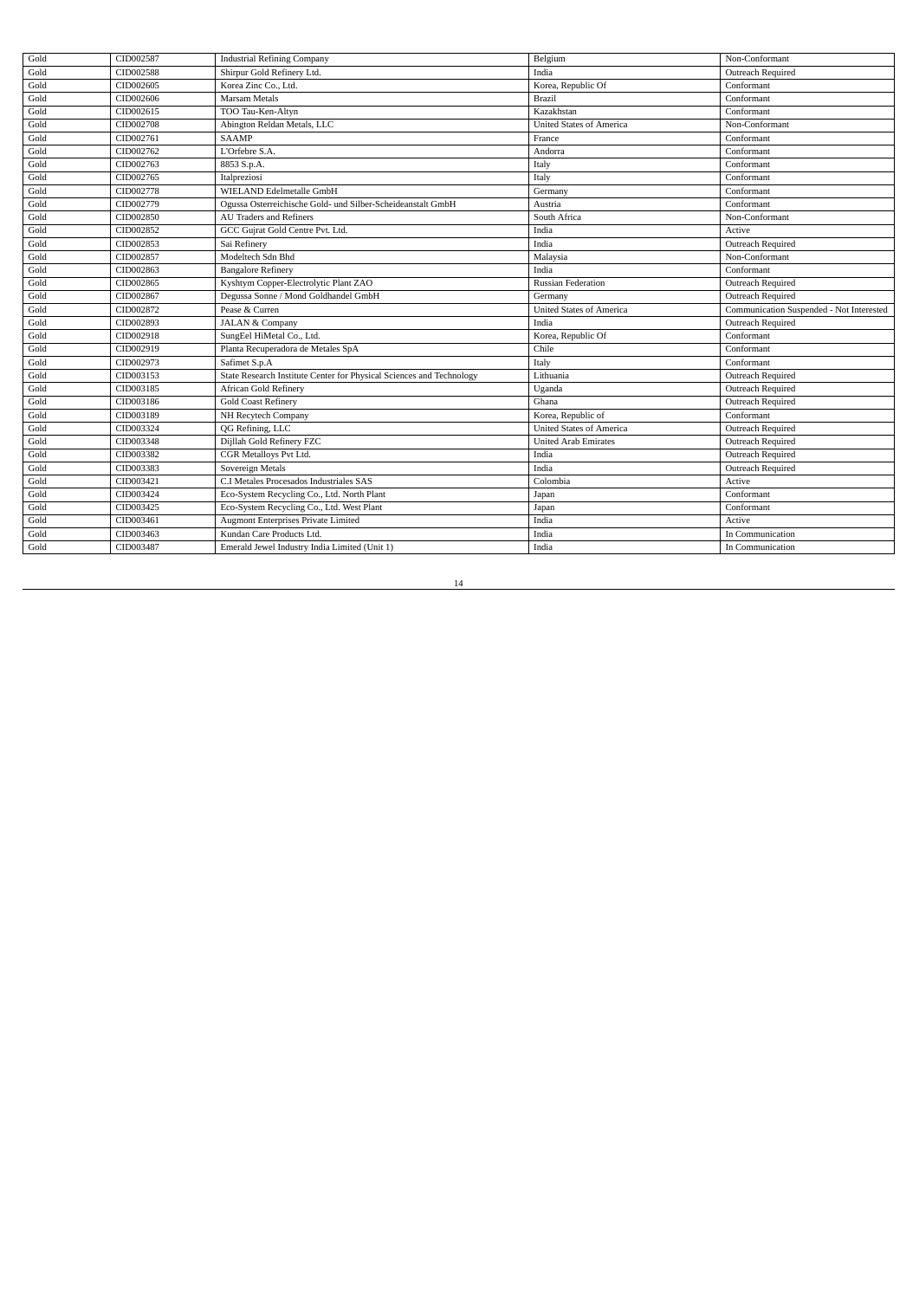| Gold         | CID002587              | <b>Industrial Refining Company</b>                                         | Belgium                         | Non-Conformant                           |
|--------------|------------------------|----------------------------------------------------------------------------|---------------------------------|------------------------------------------|
| Gold         | CID002588              | Shirpur Gold Refinery Ltd.                                                 | India                           | Outreach Required                        |
| Gold         | CID002605              | Korea Zinc Co., Ltd.                                                       | Korea, Republic Of              | Conformant                               |
| Gold         | CID002606              | <b>Marsam Metals</b>                                                       | Brazil                          | Conformant                               |
| Gold         | CID002615              | TOO Tau-Ken-Altyn                                                          | Kazakhstan                      | Conformant                               |
| Gold         | CID002708              | Abington Reldan Metals, LLC                                                | <b>United States of America</b> | Non-Conformant                           |
| Gold         | CID002761              | <b>SAAMP</b>                                                               | France                          | Conformant                               |
| Gold         | CID002762              | L'Orfebre S.A.                                                             | Andorra                         | Conformant                               |
| Gold         | CID002763              | 8853 S.p.A.                                                                | Italy                           | Conformant                               |
| Gold         | CID002765              | Italpreziosi                                                               | Italy                           | Conformant                               |
| Gold         | CID002778              | WIELAND Edelmetalle GmbH                                                   | Germany                         | Conformant                               |
| Gold         | CID002779              | Ogussa Osterreichische Gold- und Silber-Scheideanstalt GmbH                | Austria                         | Conformant                               |
| Gold         | CID002850              | <b>AU Traders and Refiners</b>                                             | South Africa                    | Non-Conformant                           |
| Gold         | CID002852              | GCC Gujrat Gold Centre Pvt. Ltd.                                           | India                           | Active                                   |
| Gold         | CID002853              | Sai Refinery                                                               | India                           | Outreach Required                        |
| Gold         | CID002857              | Modeltech Sdn Bhd                                                          | Malaysia                        | Non-Conformant                           |
| Gold         | CID002863              | <b>Bangalore Refinery</b>                                                  | India                           | Conformant                               |
| Gold         | CID002865              | Kyshtym Copper-Electrolytic Plant ZAO                                      | <b>Russian Federation</b>       | Outreach Required                        |
| Gold         | CID002867              | Degussa Sonne / Mond Goldhandel GmbH                                       | Germany                         | Outreach Required                        |
|              |                        |                                                                            |                                 |                                          |
| Gold         | CID002872              | Pease & Curren                                                             | <b>United States of America</b> | Communication Suspended - Not Interested |
| Gold         | CID002893              | <b>JALAN &amp; Company</b>                                                 | India                           | Outreach Required                        |
| Gold         | CID002918              | SungEel HiMetal Co., Ltd.                                                  | Korea, Republic Of              | Conformant                               |
| Gold         | CID002919              | Planta Recuperadora de Metales SpA                                         | Chile                           | Conformant                               |
| Gold         | CID002973              | Safimet S.p.A                                                              | Italy                           | Conformant                               |
| Gold         | CID003153              | State Research Institute Center for Physical Sciences and Technology       | Lithuania                       | Outreach Required                        |
| Gold         | CID003185              | <b>African Gold Refinery</b>                                               | Uganda                          | Outreach Required                        |
| Gold         | CID003186              | <b>Gold Coast Refinery</b>                                                 | Ghana                           | Outreach Required                        |
| Gold         | CID003189              | NH Recytech Company                                                        | Korea, Republic of              | Conformant                               |
| Gold         | CID003324              | QG Refining, LLC                                                           | <b>United States of America</b> | Outreach Required                        |
| Gold         | CID003348              | Dijllah Gold Refinery FZC                                                  | <b>United Arab Emirates</b>     | Outreach Required                        |
| Gold         | CID003382              | CGR Metalloys Pvt Ltd.                                                     | India                           | Outreach Required                        |
| Gold         | CID003383              | Sovereign Metals                                                           | India                           | Outreach Required                        |
| Gold         | CID003421              | C.I Metales Procesados Industriales SAS                                    | Colombia                        | Active                                   |
| Gold         | CID003424              | Eco-System Recycling Co., Ltd. North Plant                                 | Japan                           | Conformant                               |
| Gold         | CID003425              | Eco-System Recycling Co., Ltd. West Plant                                  | Japan                           | Conformant                               |
| Gold         | CID003461              | <b>Augmont Enterprises Private Limited</b>                                 | India                           | Active                                   |
| Gold<br>Gold | CID003463<br>CID003487 | Kundan Care Products Ltd.<br>Emerald Jewel Industry India Limited (Unit 1) | India<br>India                  | In Communication                         |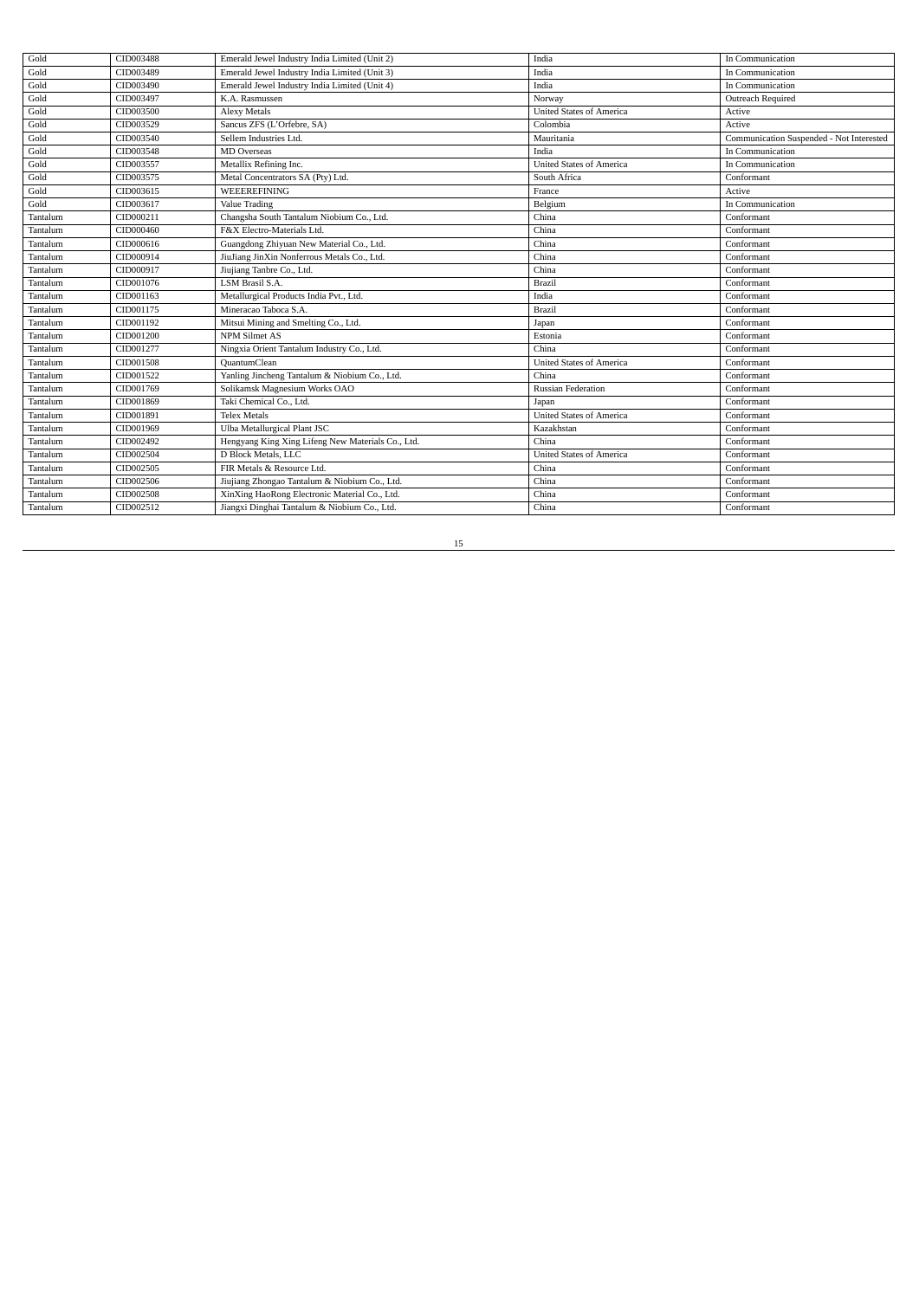| Gold     | CID003488 | Emerald Jewel Industry India Limited (Unit 2)     | India                           | In Communication                         |
|----------|-----------|---------------------------------------------------|---------------------------------|------------------------------------------|
| Gold     | CID003489 | Emerald Jewel Industry India Limited (Unit 3)     | India                           | In Communication                         |
| Gold     | CID003490 | Emerald Jewel Industry India Limited (Unit 4)     | India                           | In Communication                         |
| Gold     | CID003497 | K.A. Rasmussen                                    | Norway                          | Outreach Required                        |
| Gold     | CID003500 | <b>Alexy Metals</b>                               | <b>United States of America</b> | Active                                   |
| Gold     | CID003529 | Sancus ZFS (L'Orfebre, SA)                        | Colombia                        | Active                                   |
| Gold     | CID003540 | Sellem Industries Ltd.                            | Mauritania                      | Communication Suspended - Not Interested |
| Gold     | CID003548 | <b>MD</b> Overseas                                | India                           | In Communication                         |
| Gold     | CID003557 | Metallix Refining Inc.                            | <b>United States of America</b> | In Communication                         |
| Gold     | CID003575 | Metal Concentrators SA (Pty) Ltd.                 | South Africa                    | Conformant                               |
| Gold     | CID003615 | <b>WEEEREFINING</b>                               | France                          | Active                                   |
| Gold     | CID003617 | Value Trading                                     | Belgium                         | In Communication                         |
| Tantalum | CID000211 | Changsha South Tantalum Niobium Co., Ltd.         | China                           | Conformant                               |
| Tantalum | CID000460 | F&X Electro-Materials Ltd.                        | China                           | Conformant                               |
| Tantalum | CID000616 | Guangdong Zhiyuan New Material Co., Ltd.          | China                           | Conformant                               |
| Tantalum | CID000914 | JiuJiang JinXin Nonferrous Metals Co., Ltd.       | China                           | Conformant                               |
| Tantalum | CID000917 | Jiujiang Tanbre Co., Ltd.                         | China                           | Conformant                               |
| Tantalum | CID001076 | LSM Brasil S.A.                                   | <b>Brazil</b>                   | Conformant                               |
| Tantalum | CID001163 | Metallurgical Products India Pvt., Ltd.           | India                           | Conformant                               |
| Tantalum | CID001175 | Mineracao Taboca S.A.                             | Brazil                          | Conformant                               |
| Tantalum | CID001192 | Mitsui Mining and Smelting Co., Ltd.              | Japan                           | Conformant                               |
| Tantalum | CID001200 | <b>NPM Silmet AS</b>                              | Estonia                         | Conformant                               |
| Tantalum | CID001277 | Ningxia Orient Tantalum Industry Co., Ltd.        | China                           | Conformant                               |
| Tantalum | CID001508 | QuantumClean                                      | <b>United States of America</b> | Conformant                               |
| Tantalum | CID001522 | Yanling Jincheng Tantalum & Niobium Co., Ltd.     | China                           | Conformant                               |
| Tantalum | CID001769 | Solikamsk Magnesium Works OAO                     | <b>Russian Federation</b>       | Conformant                               |
| Tantalum | CID001869 | Taki Chemical Co., Ltd.                           | Japan                           | Conformant                               |
| Tantalum | CID001891 | <b>Telex Metals</b>                               | <b>United States of America</b> | Conformant                               |
| Tantalum | CID001969 | Ulba Metallurgical Plant JSC                      | Kazakhstan                      | Conformant                               |
| Tantalum | CID002492 | Hengyang King Xing Lifeng New Materials Co., Ltd. | China                           | Conformant                               |
| Tantalum | CID002504 | D Block Metals, LLC                               | <b>United States of America</b> | Conformant                               |
| Tantalum | CID002505 | FIR Metals & Resource Ltd.                        | China                           | Conformant                               |
| Tantalum | CID002506 | Jiujiang Zhongao Tantalum & Niobium Co., Ltd.     | China                           | Conformant                               |
| Tantalum | CID002508 | XinXing HaoRong Electronic Material Co., Ltd.     | China                           | Conformant                               |
| Tantalum | CID002512 | Jiangxi Dinghai Tantalum & Niobium Co., Ltd.      | China                           | Conformant                               |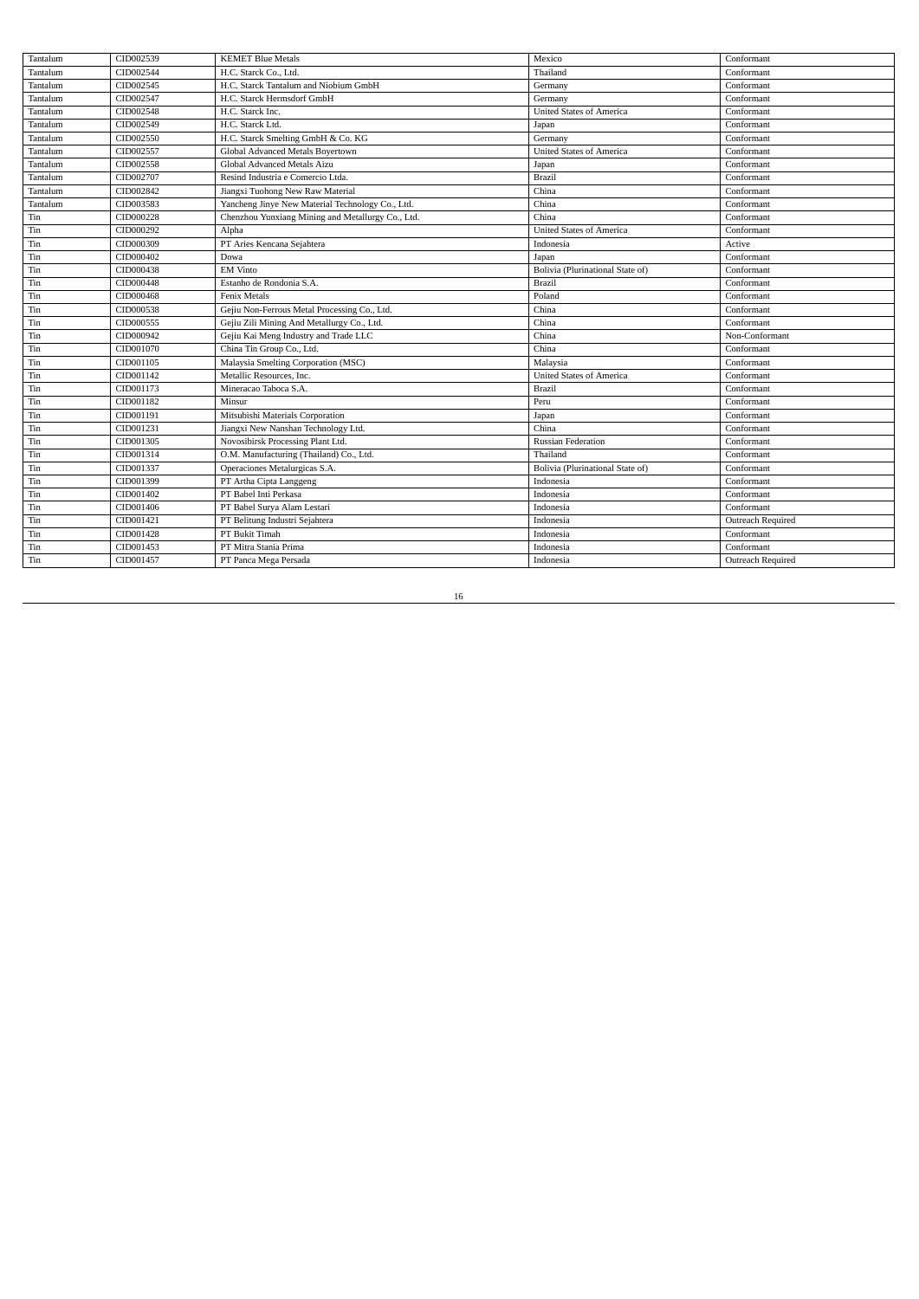| Tantalum | CID002539 | <b>KEMET Blue Metals</b>                          | Mexico                           | Conformant        |
|----------|-----------|---------------------------------------------------|----------------------------------|-------------------|
| Tantalum | CID002544 | H.C. Starck Co., Ltd.                             | Thailand                         | Conformant        |
| Tantalum | CID002545 | H.C. Starck Tantalum and Niobium GmbH             | Germany                          | Conformant        |
| Tantalum | CID002547 | H.C. Starck Hermsdorf GmbH                        | Germany                          | Conformant        |
| Tantalum | CID002548 | H.C. Starck Inc.                                  | <b>United States of America</b>  | Conformant        |
| Tantalum | CID002549 | H.C. Starck Ltd.                                  | Japan                            | Conformant        |
| Tantalum | CID002550 | H.C. Starck Smelting GmbH & Co. KG                | Germany                          | Conformant        |
| Tantalum | CID002557 | Global Advanced Metals Boyertown                  | <b>United States of America</b>  | Conformant        |
| Tantalum | CID002558 | Global Advanced Metals Aizu                       | Japan                            | Conformant        |
| Tantalum | CID002707 | Resind Industria e Comercio Ltda.                 | <b>Brazil</b>                    | Conformant        |
| Tantalum | CID002842 | Jiangxi Tuohong New Raw Material                  | China                            | Conformant        |
| Tantalum | CID003583 | Yancheng Jinye New Material Technology Co., Ltd.  | China                            | Conformant        |
| Tin      | CID000228 | Chenzhou Yunxiang Mining and Metallurgy Co., Ltd. | China                            | Conformant        |
| Tin      | CID000292 | Alpha                                             | <b>United States of America</b>  | Conformant        |
| Tin      | CID000309 | PT Aries Kencana Sejahtera                        | Indonesia                        | Active            |
| Tin      | CID000402 | Dowa                                              | Japan                            | Conformant        |
| Tin      | CID000438 | <b>EM Vinto</b>                                   | Bolivia (Plurinational State of) | Conformant        |
| Tin      | CID000448 | Estanho de Rondonia S.A.                          | <b>Brazil</b>                    | Conformant        |
| Tin      | CID000468 | Fenix Metals                                      | Poland                           | Conformant        |
| Tin      | CID000538 | Gejiu Non-Ferrous Metal Processing Co., Ltd.      | China                            | Conformant        |
| Tin      | CID000555 | Gejiu Zili Mining And Metallurgy Co., Ltd.        | China                            | Conformant        |
| Tin      | CID000942 | Gejiu Kai Meng Industry and Trade LLC             | China                            | Non-Conformant    |
| Tin      | CID001070 | China Tin Group Co., Ltd.                         | China                            | Conformant        |
| Tin      | CID001105 | Malaysia Smelting Corporation (MSC)               | Malaysia                         | Conformant        |
| Tin      | CID001142 | Metallic Resources, Inc.                          | <b>United States of America</b>  | Conformant        |
| Tin      | CID001173 | Mineracao Taboca S.A.                             | <b>Brazil</b>                    | Conformant        |
| Tin      | CID001182 | Minsur                                            | Peru                             | Conformant        |
| Tin      | CID001191 | Mitsubishi Materials Corporation                  | Japan                            | Conformant        |
| Tin      | CID001231 | Jiangxi New Nanshan Technology Ltd.               | China                            | Conformant        |
| Tin      | CID001305 | Novosibirsk Processing Plant Ltd.                 | <b>Russian Federation</b>        | Conformant        |
| Tin      | CID001314 | O.M. Manufacturing (Thailand) Co., Ltd.           | Thailand                         | Conformant        |
| Tin      | CID001337 | Operaciones Metalurgicas S.A.                     | Bolivia (Plurinational State of) | Conformant        |
| Tin      | CID001399 | PT Artha Cipta Langgeng                           | Indonesia                        | Conformant        |
| Tin      | CID001402 | PT Babel Inti Perkasa                             | Indonesia                        | Conformant        |
| Tin      | CID001406 | PT Babel Surva Alam Lestari                       | Indonesia                        | Conformant        |
| Tin      | CID001421 | PT Belitung Industri Sejahtera                    | Indonesia                        | Outreach Required |
| Tin      | CID001428 | PT Bukit Timah                                    | Indonesia                        | Conformant        |
| Tin      | CID001453 | PT Mitra Stania Prima                             | Indonesia                        | Conformant        |
| Tin      | CID001457 | PT Panca Mega Persada                             | Indonesia                        | Outreach Required |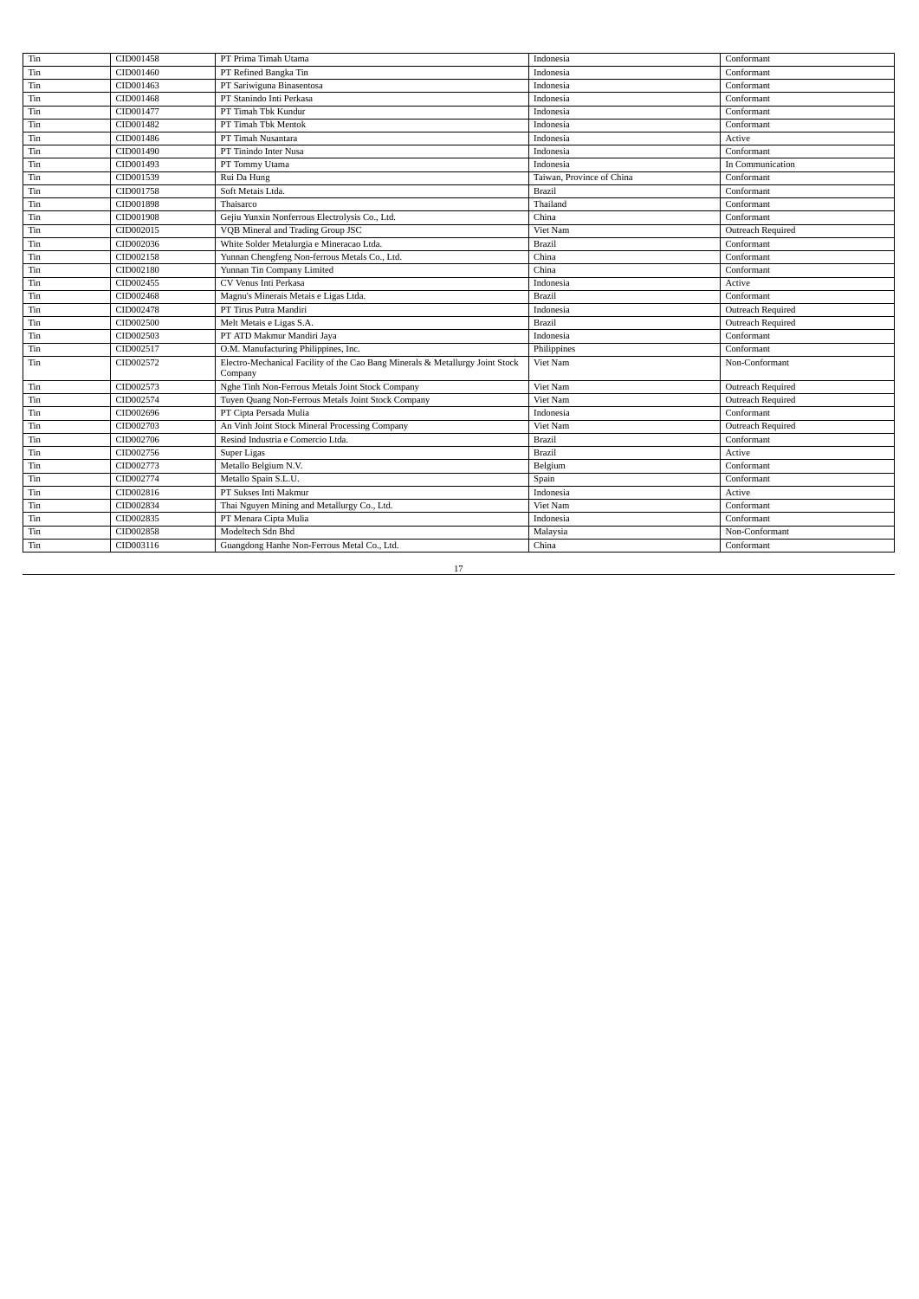| Tin<br>CID001460<br>PT Refined Bangka Tin<br>Conformant<br>Indonesia<br>CID001463<br>PT Sariwiguna Binasentosa<br>Tin<br>Indonesia<br>Conformant<br>CID001468<br>PT Stanindo Inti Perkasa<br>Conformant<br>Tin<br>Indonesia<br>CID001477<br>PT Timah Tbk Kundur<br>Indonesia<br>Conformant<br>Tin<br>CID001482<br>PT Timah Tbk Mentok<br>Conformant<br>Tin<br>Indonesia<br>CID001486<br>PT Timah Nusantara<br>Active<br>Tin<br>Indonesia<br>Tin<br>CID001490<br>PT Tinindo Inter Nusa<br>Conformant<br>Indonesia<br>CID001493<br>Tin<br>PT Tommy Utama<br>Indonesia<br>In Communication<br>CID001539<br>Rui Da Hung<br>Tin<br>Taiwan, Province of China<br>Conformant<br>CID001758<br>Soft Metais Ltda.<br>Tin<br>Brazil<br>Conformant<br>CID001898<br>Thaisarco<br>Thailand<br>Conformant<br>Tin<br>CID001908<br>Gejiu Yunxin Nonferrous Electrolysis Co., Ltd.<br>China<br>Conformant<br>Tin<br>CID002015<br>VQB Mineral and Trading Group JSC<br>Tin<br>Viet Nam<br>Outreach Required<br>White Solder Metalurgia e Mineracao Ltda.<br>Conformant<br>CID002036<br>Tin<br><b>Brazil</b><br>Yunnan Chengfeng Non-ferrous Metals Co., Ltd.<br>CID002158<br>Conformant<br>Tin<br>China<br>Yunnan Tin Company Limited<br>Tin<br>CID002180<br>Conformant<br>China<br>CID002455<br>CV Venus Inti Perkasa<br>Tin<br>Indonesia<br>Active<br>Tin<br>CID002468<br>Magnu's Minerais Metais e Ligas Ltda.<br>Conformant<br><b>Brazil</b><br>CID002478<br>PT Tirus Putra Mandiri<br>Tin<br>Outreach Required<br>Indonesia<br>CID002500<br>Outreach Required<br>Tin<br>Melt Metais e Ligas S.A.<br>Brazil<br>PT ATD Makmur Mandiri Jaya<br>Conformant<br>CID002503<br>Tin<br>Indonesia<br>CID002517<br>O.M. Manufacturing Philippines, Inc.<br>Philippines<br>Conformant<br>Tin<br>CID002572<br>Electro-Mechanical Facility of the Cao Bang Minerals & Metallurgy Joint Stock<br>Non-Conformant<br>Viet Nam<br>Tin<br>Company<br>CID002573<br>Nghe Tinh Non-Ferrous Metals Joint Stock Company<br>Viet Nam<br>Outreach Required<br>Tin<br>CID002574<br>Tuyen Quang Non-Ferrous Metals Joint Stock Company<br>Viet Nam<br>Outreach Required<br>Tin<br>CID002696<br>PT Cipta Persada Mulia<br>Conformant<br>Tin<br>Indonesia<br>CID002703<br>An Vinh Joint Stock Mineral Processing Company<br>Tin<br>Viet Nam<br>Outreach Required<br>CID002706<br>Resind Industria e Comercio Ltda.<br>Brazil<br>Conformant<br>Tin<br>CID002756<br>Tin<br>Super Ligas<br>Brazil<br>Active<br>CID002773<br>Metallo Belgium N.V.<br>Conformant<br>Tin<br>Belgium<br>CID002774<br>Metallo Spain S.L.U.<br>Tin<br>Spain<br>Conformant<br>PT Sukses Inti Makmur<br>CID002816<br>Indonesia<br>Active<br>Tin<br>CID002834<br>Thai Nguyen Mining and Metallurgy Co., Ltd.<br>Viet Nam<br>Conformant<br>Tin<br>CID002835<br>PT Menara Cipta Mulia<br>Indonesia<br>Conformant<br>Tin<br>CID002858<br>Modeltech Sdn Bhd<br>Malaysia<br>Non-Conformant<br>Tin | Tin | CID001458 | PT Prima Timah Utama                        | Indonesia | Conformant |
|----------------------------------------------------------------------------------------------------------------------------------------------------------------------------------------------------------------------------------------------------------------------------------------------------------------------------------------------------------------------------------------------------------------------------------------------------------------------------------------------------------------------------------------------------------------------------------------------------------------------------------------------------------------------------------------------------------------------------------------------------------------------------------------------------------------------------------------------------------------------------------------------------------------------------------------------------------------------------------------------------------------------------------------------------------------------------------------------------------------------------------------------------------------------------------------------------------------------------------------------------------------------------------------------------------------------------------------------------------------------------------------------------------------------------------------------------------------------------------------------------------------------------------------------------------------------------------------------------------------------------------------------------------------------------------------------------------------------------------------------------------------------------------------------------------------------------------------------------------------------------------------------------------------------------------------------------------------------------------------------------------------------------------------------------------------------------------------------------------------------------------------------------------------------------------------------------------------------------------------------------------------------------------------------------------------------------------------------------------------------------------------------------------------------------------------------------------------------------------------------------------------------------------------------------------------------------------------------------------------------------------------------------------------------------------------------------------------------------------------------------------------------------------------------------------------------------------------------------------------------------------------------------------------------|-----|-----------|---------------------------------------------|-----------|------------|
|                                                                                                                                                                                                                                                                                                                                                                                                                                                                                                                                                                                                                                                                                                                                                                                                                                                                                                                                                                                                                                                                                                                                                                                                                                                                                                                                                                                                                                                                                                                                                                                                                                                                                                                                                                                                                                                                                                                                                                                                                                                                                                                                                                                                                                                                                                                                                                                                                                                                                                                                                                                                                                                                                                                                                                                                                                                                                                                      |     |           |                                             |           |            |
|                                                                                                                                                                                                                                                                                                                                                                                                                                                                                                                                                                                                                                                                                                                                                                                                                                                                                                                                                                                                                                                                                                                                                                                                                                                                                                                                                                                                                                                                                                                                                                                                                                                                                                                                                                                                                                                                                                                                                                                                                                                                                                                                                                                                                                                                                                                                                                                                                                                                                                                                                                                                                                                                                                                                                                                                                                                                                                                      |     |           |                                             |           |            |
|                                                                                                                                                                                                                                                                                                                                                                                                                                                                                                                                                                                                                                                                                                                                                                                                                                                                                                                                                                                                                                                                                                                                                                                                                                                                                                                                                                                                                                                                                                                                                                                                                                                                                                                                                                                                                                                                                                                                                                                                                                                                                                                                                                                                                                                                                                                                                                                                                                                                                                                                                                                                                                                                                                                                                                                                                                                                                                                      |     |           |                                             |           |            |
|                                                                                                                                                                                                                                                                                                                                                                                                                                                                                                                                                                                                                                                                                                                                                                                                                                                                                                                                                                                                                                                                                                                                                                                                                                                                                                                                                                                                                                                                                                                                                                                                                                                                                                                                                                                                                                                                                                                                                                                                                                                                                                                                                                                                                                                                                                                                                                                                                                                                                                                                                                                                                                                                                                                                                                                                                                                                                                                      |     |           |                                             |           |            |
|                                                                                                                                                                                                                                                                                                                                                                                                                                                                                                                                                                                                                                                                                                                                                                                                                                                                                                                                                                                                                                                                                                                                                                                                                                                                                                                                                                                                                                                                                                                                                                                                                                                                                                                                                                                                                                                                                                                                                                                                                                                                                                                                                                                                                                                                                                                                                                                                                                                                                                                                                                                                                                                                                                                                                                                                                                                                                                                      |     |           |                                             |           |            |
|                                                                                                                                                                                                                                                                                                                                                                                                                                                                                                                                                                                                                                                                                                                                                                                                                                                                                                                                                                                                                                                                                                                                                                                                                                                                                                                                                                                                                                                                                                                                                                                                                                                                                                                                                                                                                                                                                                                                                                                                                                                                                                                                                                                                                                                                                                                                                                                                                                                                                                                                                                                                                                                                                                                                                                                                                                                                                                                      |     |           |                                             |           |            |
|                                                                                                                                                                                                                                                                                                                                                                                                                                                                                                                                                                                                                                                                                                                                                                                                                                                                                                                                                                                                                                                                                                                                                                                                                                                                                                                                                                                                                                                                                                                                                                                                                                                                                                                                                                                                                                                                                                                                                                                                                                                                                                                                                                                                                                                                                                                                                                                                                                                                                                                                                                                                                                                                                                                                                                                                                                                                                                                      |     |           |                                             |           |            |
|                                                                                                                                                                                                                                                                                                                                                                                                                                                                                                                                                                                                                                                                                                                                                                                                                                                                                                                                                                                                                                                                                                                                                                                                                                                                                                                                                                                                                                                                                                                                                                                                                                                                                                                                                                                                                                                                                                                                                                                                                                                                                                                                                                                                                                                                                                                                                                                                                                                                                                                                                                                                                                                                                                                                                                                                                                                                                                                      |     |           |                                             |           |            |
|                                                                                                                                                                                                                                                                                                                                                                                                                                                                                                                                                                                                                                                                                                                                                                                                                                                                                                                                                                                                                                                                                                                                                                                                                                                                                                                                                                                                                                                                                                                                                                                                                                                                                                                                                                                                                                                                                                                                                                                                                                                                                                                                                                                                                                                                                                                                                                                                                                                                                                                                                                                                                                                                                                                                                                                                                                                                                                                      |     |           |                                             |           |            |
|                                                                                                                                                                                                                                                                                                                                                                                                                                                                                                                                                                                                                                                                                                                                                                                                                                                                                                                                                                                                                                                                                                                                                                                                                                                                                                                                                                                                                                                                                                                                                                                                                                                                                                                                                                                                                                                                                                                                                                                                                                                                                                                                                                                                                                                                                                                                                                                                                                                                                                                                                                                                                                                                                                                                                                                                                                                                                                                      |     |           |                                             |           |            |
|                                                                                                                                                                                                                                                                                                                                                                                                                                                                                                                                                                                                                                                                                                                                                                                                                                                                                                                                                                                                                                                                                                                                                                                                                                                                                                                                                                                                                                                                                                                                                                                                                                                                                                                                                                                                                                                                                                                                                                                                                                                                                                                                                                                                                                                                                                                                                                                                                                                                                                                                                                                                                                                                                                                                                                                                                                                                                                                      |     |           |                                             |           |            |
|                                                                                                                                                                                                                                                                                                                                                                                                                                                                                                                                                                                                                                                                                                                                                                                                                                                                                                                                                                                                                                                                                                                                                                                                                                                                                                                                                                                                                                                                                                                                                                                                                                                                                                                                                                                                                                                                                                                                                                                                                                                                                                                                                                                                                                                                                                                                                                                                                                                                                                                                                                                                                                                                                                                                                                                                                                                                                                                      |     |           |                                             |           |            |
|                                                                                                                                                                                                                                                                                                                                                                                                                                                                                                                                                                                                                                                                                                                                                                                                                                                                                                                                                                                                                                                                                                                                                                                                                                                                                                                                                                                                                                                                                                                                                                                                                                                                                                                                                                                                                                                                                                                                                                                                                                                                                                                                                                                                                                                                                                                                                                                                                                                                                                                                                                                                                                                                                                                                                                                                                                                                                                                      |     |           |                                             |           |            |
|                                                                                                                                                                                                                                                                                                                                                                                                                                                                                                                                                                                                                                                                                                                                                                                                                                                                                                                                                                                                                                                                                                                                                                                                                                                                                                                                                                                                                                                                                                                                                                                                                                                                                                                                                                                                                                                                                                                                                                                                                                                                                                                                                                                                                                                                                                                                                                                                                                                                                                                                                                                                                                                                                                                                                                                                                                                                                                                      |     |           |                                             |           |            |
|                                                                                                                                                                                                                                                                                                                                                                                                                                                                                                                                                                                                                                                                                                                                                                                                                                                                                                                                                                                                                                                                                                                                                                                                                                                                                                                                                                                                                                                                                                                                                                                                                                                                                                                                                                                                                                                                                                                                                                                                                                                                                                                                                                                                                                                                                                                                                                                                                                                                                                                                                                                                                                                                                                                                                                                                                                                                                                                      |     |           |                                             |           |            |
|                                                                                                                                                                                                                                                                                                                                                                                                                                                                                                                                                                                                                                                                                                                                                                                                                                                                                                                                                                                                                                                                                                                                                                                                                                                                                                                                                                                                                                                                                                                                                                                                                                                                                                                                                                                                                                                                                                                                                                                                                                                                                                                                                                                                                                                                                                                                                                                                                                                                                                                                                                                                                                                                                                                                                                                                                                                                                                                      |     |           |                                             |           |            |
|                                                                                                                                                                                                                                                                                                                                                                                                                                                                                                                                                                                                                                                                                                                                                                                                                                                                                                                                                                                                                                                                                                                                                                                                                                                                                                                                                                                                                                                                                                                                                                                                                                                                                                                                                                                                                                                                                                                                                                                                                                                                                                                                                                                                                                                                                                                                                                                                                                                                                                                                                                                                                                                                                                                                                                                                                                                                                                                      |     |           |                                             |           |            |
|                                                                                                                                                                                                                                                                                                                                                                                                                                                                                                                                                                                                                                                                                                                                                                                                                                                                                                                                                                                                                                                                                                                                                                                                                                                                                                                                                                                                                                                                                                                                                                                                                                                                                                                                                                                                                                                                                                                                                                                                                                                                                                                                                                                                                                                                                                                                                                                                                                                                                                                                                                                                                                                                                                                                                                                                                                                                                                                      |     |           |                                             |           |            |
|                                                                                                                                                                                                                                                                                                                                                                                                                                                                                                                                                                                                                                                                                                                                                                                                                                                                                                                                                                                                                                                                                                                                                                                                                                                                                                                                                                                                                                                                                                                                                                                                                                                                                                                                                                                                                                                                                                                                                                                                                                                                                                                                                                                                                                                                                                                                                                                                                                                                                                                                                                                                                                                                                                                                                                                                                                                                                                                      |     |           |                                             |           |            |
|                                                                                                                                                                                                                                                                                                                                                                                                                                                                                                                                                                                                                                                                                                                                                                                                                                                                                                                                                                                                                                                                                                                                                                                                                                                                                                                                                                                                                                                                                                                                                                                                                                                                                                                                                                                                                                                                                                                                                                                                                                                                                                                                                                                                                                                                                                                                                                                                                                                                                                                                                                                                                                                                                                                                                                                                                                                                                                                      |     |           |                                             |           |            |
|                                                                                                                                                                                                                                                                                                                                                                                                                                                                                                                                                                                                                                                                                                                                                                                                                                                                                                                                                                                                                                                                                                                                                                                                                                                                                                                                                                                                                                                                                                                                                                                                                                                                                                                                                                                                                                                                                                                                                                                                                                                                                                                                                                                                                                                                                                                                                                                                                                                                                                                                                                                                                                                                                                                                                                                                                                                                                                                      |     |           |                                             |           |            |
|                                                                                                                                                                                                                                                                                                                                                                                                                                                                                                                                                                                                                                                                                                                                                                                                                                                                                                                                                                                                                                                                                                                                                                                                                                                                                                                                                                                                                                                                                                                                                                                                                                                                                                                                                                                                                                                                                                                                                                                                                                                                                                                                                                                                                                                                                                                                                                                                                                                                                                                                                                                                                                                                                                                                                                                                                                                                                                                      |     |           |                                             |           |            |
|                                                                                                                                                                                                                                                                                                                                                                                                                                                                                                                                                                                                                                                                                                                                                                                                                                                                                                                                                                                                                                                                                                                                                                                                                                                                                                                                                                                                                                                                                                                                                                                                                                                                                                                                                                                                                                                                                                                                                                                                                                                                                                                                                                                                                                                                                                                                                                                                                                                                                                                                                                                                                                                                                                                                                                                                                                                                                                                      |     |           |                                             |           |            |
|                                                                                                                                                                                                                                                                                                                                                                                                                                                                                                                                                                                                                                                                                                                                                                                                                                                                                                                                                                                                                                                                                                                                                                                                                                                                                                                                                                                                                                                                                                                                                                                                                                                                                                                                                                                                                                                                                                                                                                                                                                                                                                                                                                                                                                                                                                                                                                                                                                                                                                                                                                                                                                                                                                                                                                                                                                                                                                                      |     |           |                                             |           |            |
|                                                                                                                                                                                                                                                                                                                                                                                                                                                                                                                                                                                                                                                                                                                                                                                                                                                                                                                                                                                                                                                                                                                                                                                                                                                                                                                                                                                                                                                                                                                                                                                                                                                                                                                                                                                                                                                                                                                                                                                                                                                                                                                                                                                                                                                                                                                                                                                                                                                                                                                                                                                                                                                                                                                                                                                                                                                                                                                      |     |           |                                             |           |            |
|                                                                                                                                                                                                                                                                                                                                                                                                                                                                                                                                                                                                                                                                                                                                                                                                                                                                                                                                                                                                                                                                                                                                                                                                                                                                                                                                                                                                                                                                                                                                                                                                                                                                                                                                                                                                                                                                                                                                                                                                                                                                                                                                                                                                                                                                                                                                                                                                                                                                                                                                                                                                                                                                                                                                                                                                                                                                                                                      |     |           |                                             |           |            |
|                                                                                                                                                                                                                                                                                                                                                                                                                                                                                                                                                                                                                                                                                                                                                                                                                                                                                                                                                                                                                                                                                                                                                                                                                                                                                                                                                                                                                                                                                                                                                                                                                                                                                                                                                                                                                                                                                                                                                                                                                                                                                                                                                                                                                                                                                                                                                                                                                                                                                                                                                                                                                                                                                                                                                                                                                                                                                                                      |     |           |                                             |           |            |
|                                                                                                                                                                                                                                                                                                                                                                                                                                                                                                                                                                                                                                                                                                                                                                                                                                                                                                                                                                                                                                                                                                                                                                                                                                                                                                                                                                                                                                                                                                                                                                                                                                                                                                                                                                                                                                                                                                                                                                                                                                                                                                                                                                                                                                                                                                                                                                                                                                                                                                                                                                                                                                                                                                                                                                                                                                                                                                                      |     |           |                                             |           |            |
|                                                                                                                                                                                                                                                                                                                                                                                                                                                                                                                                                                                                                                                                                                                                                                                                                                                                                                                                                                                                                                                                                                                                                                                                                                                                                                                                                                                                                                                                                                                                                                                                                                                                                                                                                                                                                                                                                                                                                                                                                                                                                                                                                                                                                                                                                                                                                                                                                                                                                                                                                                                                                                                                                                                                                                                                                                                                                                                      |     |           |                                             |           |            |
|                                                                                                                                                                                                                                                                                                                                                                                                                                                                                                                                                                                                                                                                                                                                                                                                                                                                                                                                                                                                                                                                                                                                                                                                                                                                                                                                                                                                                                                                                                                                                                                                                                                                                                                                                                                                                                                                                                                                                                                                                                                                                                                                                                                                                                                                                                                                                                                                                                                                                                                                                                                                                                                                                                                                                                                                                                                                                                                      |     |           |                                             |           |            |
|                                                                                                                                                                                                                                                                                                                                                                                                                                                                                                                                                                                                                                                                                                                                                                                                                                                                                                                                                                                                                                                                                                                                                                                                                                                                                                                                                                                                                                                                                                                                                                                                                                                                                                                                                                                                                                                                                                                                                                                                                                                                                                                                                                                                                                                                                                                                                                                                                                                                                                                                                                                                                                                                                                                                                                                                                                                                                                                      |     |           |                                             |           |            |
|                                                                                                                                                                                                                                                                                                                                                                                                                                                                                                                                                                                                                                                                                                                                                                                                                                                                                                                                                                                                                                                                                                                                                                                                                                                                                                                                                                                                                                                                                                                                                                                                                                                                                                                                                                                                                                                                                                                                                                                                                                                                                                                                                                                                                                                                                                                                                                                                                                                                                                                                                                                                                                                                                                                                                                                                                                                                                                                      |     |           |                                             |           |            |
|                                                                                                                                                                                                                                                                                                                                                                                                                                                                                                                                                                                                                                                                                                                                                                                                                                                                                                                                                                                                                                                                                                                                                                                                                                                                                                                                                                                                                                                                                                                                                                                                                                                                                                                                                                                                                                                                                                                                                                                                                                                                                                                                                                                                                                                                                                                                                                                                                                                                                                                                                                                                                                                                                                                                                                                                                                                                                                                      |     |           |                                             |           |            |
|                                                                                                                                                                                                                                                                                                                                                                                                                                                                                                                                                                                                                                                                                                                                                                                                                                                                                                                                                                                                                                                                                                                                                                                                                                                                                                                                                                                                                                                                                                                                                                                                                                                                                                                                                                                                                                                                                                                                                                                                                                                                                                                                                                                                                                                                                                                                                                                                                                                                                                                                                                                                                                                                                                                                                                                                                                                                                                                      |     |           |                                             |           |            |
|                                                                                                                                                                                                                                                                                                                                                                                                                                                                                                                                                                                                                                                                                                                                                                                                                                                                                                                                                                                                                                                                                                                                                                                                                                                                                                                                                                                                                                                                                                                                                                                                                                                                                                                                                                                                                                                                                                                                                                                                                                                                                                                                                                                                                                                                                                                                                                                                                                                                                                                                                                                                                                                                                                                                                                                                                                                                                                                      |     |           |                                             |           |            |
|                                                                                                                                                                                                                                                                                                                                                                                                                                                                                                                                                                                                                                                                                                                                                                                                                                                                                                                                                                                                                                                                                                                                                                                                                                                                                                                                                                                                                                                                                                                                                                                                                                                                                                                                                                                                                                                                                                                                                                                                                                                                                                                                                                                                                                                                                                                                                                                                                                                                                                                                                                                                                                                                                                                                                                                                                                                                                                                      | Tin | CID003116 | Guangdong Hanhe Non-Ferrous Metal Co., Ltd. | China     | Conformant |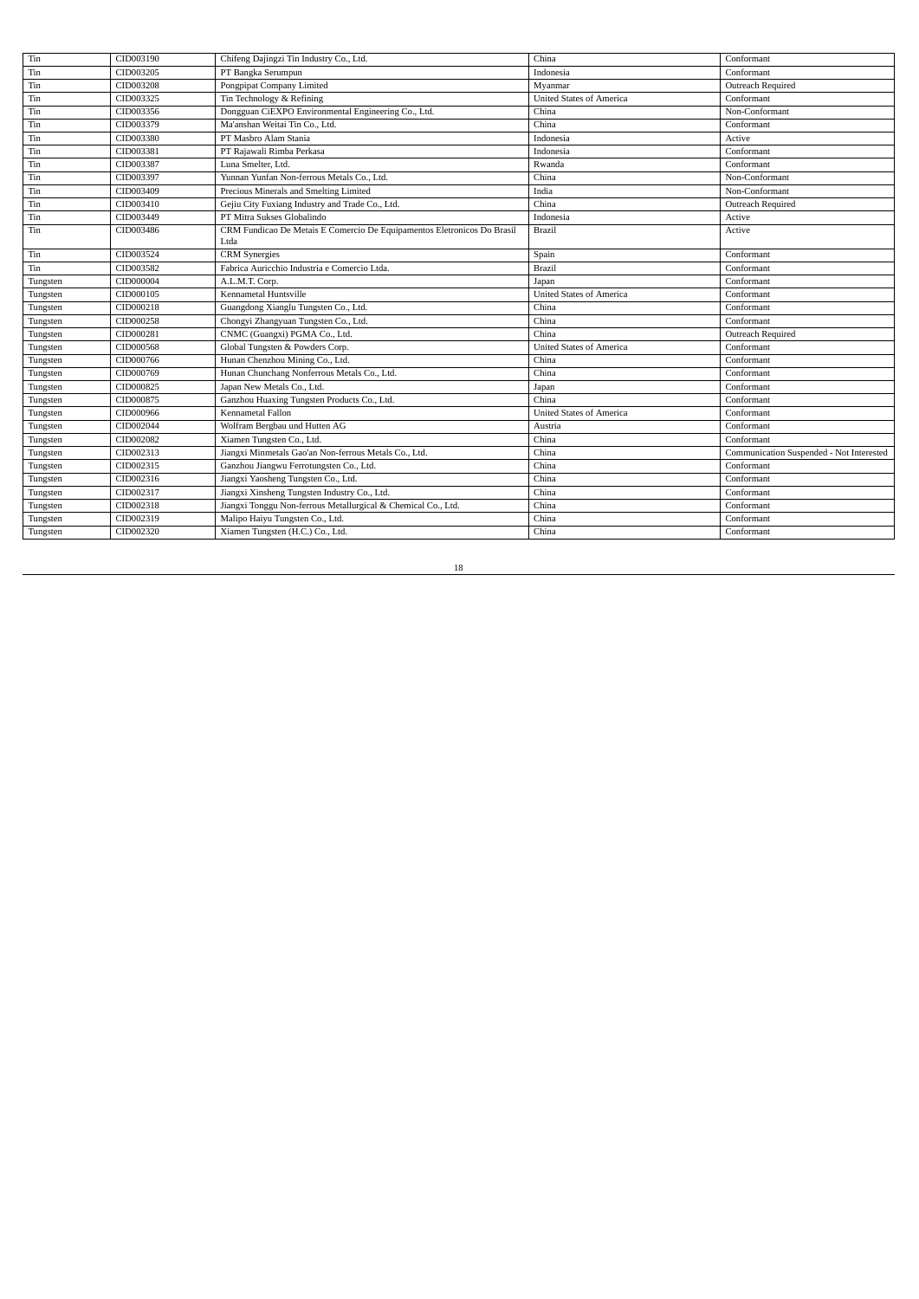| Tin      | CID003190 | Chifeng Dajingzi Tin Industry Co., Ltd.                                         | China                           | Conformant                               |
|----------|-----------|---------------------------------------------------------------------------------|---------------------------------|------------------------------------------|
| Tin      | CID003205 | PT Bangka Serumpun                                                              | Indonesia                       | Conformant                               |
| Tin      | CID003208 | Pongpipat Company Limited                                                       | Myanmar                         | Outreach Required                        |
| Tin      | CID003325 | Tin Technology & Refining                                                       | <b>United States of America</b> | Conformant                               |
| Tin      | CID003356 | Dongguan CiEXPO Environmental Engineering Co., Ltd.                             | China                           | Non-Conformant                           |
| Tin      | CID003379 | Ma'anshan Weitai Tin Co., Ltd.                                                  | China                           | Conformant                               |
| Tin      | CID003380 | PT Masbro Alam Stania                                                           | Indonesia                       | Active                                   |
| Tin      | CID003381 | PT Rajawali Rimba Perkasa                                                       | Indonesia                       | Conformant                               |
| Tin      | CID003387 | Luna Smelter, Ltd.                                                              | Rwanda                          | Conformant                               |
| Tin      | CID003397 | Yunnan Yunfan Non-ferrous Metals Co., Ltd.                                      | China                           | Non-Conformant                           |
| Tin      | CID003409 | Precious Minerals and Smelting Limited                                          | India                           | Non-Conformant                           |
| Tin      | CID003410 | Gejiu City Fuxiang Industry and Trade Co., Ltd.                                 | China                           | Outreach Required                        |
| Tin      | CID003449 | PT Mitra Sukses Globalindo                                                      | Indonesia                       | Active                                   |
| Tin      | CID003486 | CRM Fundicao De Metais E Comercio De Equipamentos Eletronicos Do Brasil<br>Ltda | <b>Brazil</b>                   | Active                                   |
| Tin      | CID003524 | <b>CRM</b> Synergies                                                            | Spain                           | Conformant                               |
| Tin      | CID003582 | Fabrica Auricchio Industria e Comercio Ltda.                                    | Brazil                          | Conformant                               |
| Tungsten | CID000004 | A.L.M.T. Corp.                                                                  | Japan                           | Conformant                               |
| Tungsten | CID000105 | Kennametal Huntsville                                                           | <b>United States of America</b> | Conformant                               |
| Tungsten | CID000218 | Guangdong Xianglu Tungsten Co., Ltd.                                            | China                           | Conformant                               |
| Tungsten | CID000258 | Chongyi Zhangyuan Tungsten Co., Ltd.                                            | China                           | Conformant                               |
| Tungsten | CID000281 | CNMC (Guangxi) PGMA Co., Ltd.                                                   | China                           | Outreach Required                        |
| Tungsten | CID000568 | Global Tungsten & Powders Corp.                                                 | <b>United States of America</b> | Conformant                               |
| Tungsten | CID000766 | Hunan Chenzhou Mining Co., Ltd.                                                 | China                           | Conformant                               |
| Tungsten | CID000769 | Hunan Chunchang Nonferrous Metals Co., Ltd.                                     | China                           | Conformant                               |
| Tungsten | CID000825 | Japan New Metals Co., Ltd.                                                      | Japan                           | Conformant                               |
| Tungsten | CID000875 | Ganzhou Huaxing Tungsten Products Co., Ltd.                                     | China                           | Conformant                               |
| Tungsten | CID000966 | Kennametal Fallon                                                               | <b>United States of America</b> | Conformant                               |
| Tungsten | CID002044 | Wolfram Bergbau und Hutten AG                                                   | Austria                         | Conformant                               |
| Tungsten | CID002082 | Xiamen Tungsten Co., Ltd.                                                       | China                           | Conformant                               |
| Tungsten | CID002313 | Jiangxi Minmetals Gao'an Non-ferrous Metals Co., Ltd.                           | China                           | Communication Suspended - Not Interested |
| Tungsten | CID002315 | Ganzhou Jiangwu Ferrotungsten Co., Ltd.                                         | China                           | Conformant                               |
| Tungsten | CID002316 | Jiangxi Yaosheng Tungsten Co., Ltd.                                             | China                           | Conformant                               |
| Tungsten | CID002317 | Jiangxi Xinsheng Tungsten Industry Co., Ltd.                                    | China                           | Conformant                               |
| Tungsten | CID002318 | Jiangxi Tonggu Non-ferrous Metallurgical & Chemical Co., Ltd.                   | China                           | Conformant                               |
| Tungsten | CID002319 | Malipo Haiyu Tungsten Co., Ltd.                                                 | China                           | Conformant                               |
| Tungsten | CID002320 | Xiamen Tungsten (H.C.) Co., Ltd.                                                | China                           | Conformant                               |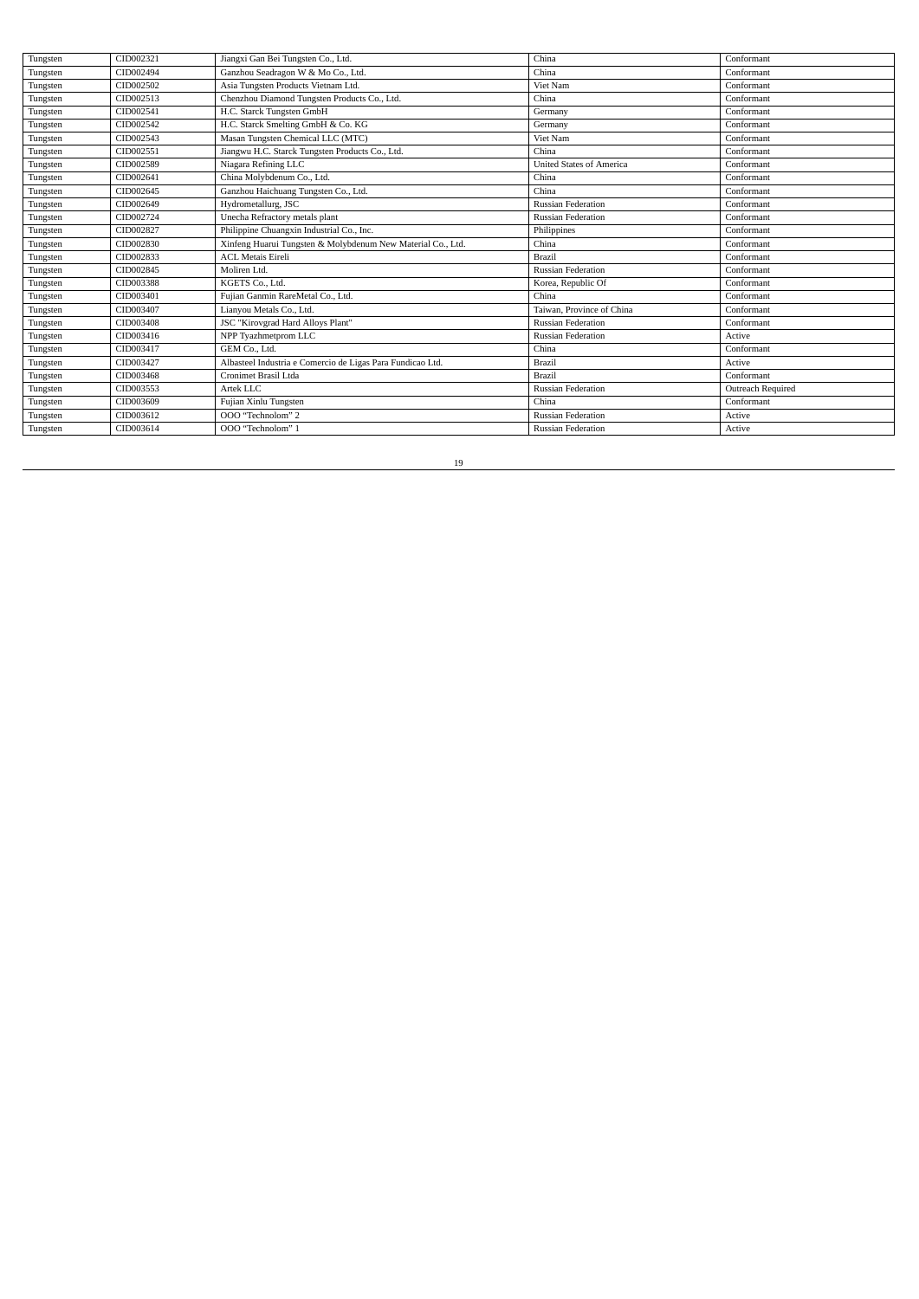| Tungsten | CID002321 | Jiangxi Gan Bei Tungsten Co., Ltd.                          | China                           | Conformant        |
|----------|-----------|-------------------------------------------------------------|---------------------------------|-------------------|
| Tungsten | CID002494 | Ganzhou Seadragon W & Mo Co., Ltd.                          | China                           | Conformant        |
| Tungsten | CID002502 | Asia Tungsten Products Vietnam Ltd.                         | Viet Nam                        | Conformant        |
| Tungsten | CID002513 | Chenzhou Diamond Tungsten Products Co., Ltd.                | China                           | Conformant        |
| Tungsten | CID002541 | H.C. Starck Tungsten GmbH                                   | Germany                         | Conformant        |
| Tungsten | CID002542 | H.C. Starck Smelting GmbH & Co. KG                          | Germany                         | Conformant        |
| Tungsten | CID002543 | Masan Tungsten Chemical LLC (MTC)                           | Viet Nam                        | Conformant        |
| Tungsten | CID002551 | Jiangwu H.C. Starck Tungsten Products Co., Ltd.             | China                           | Conformant        |
| Tungsten | CID002589 | Niagara Refining LLC                                        | <b>United States of America</b> | Conformant        |
| Tungsten | CID002641 | China Molybdenum Co., Ltd.                                  | China                           | Conformant        |
| Tungsten | CID002645 | Ganzhou Haichuang Tungsten Co., Ltd.                        | China                           | Conformant        |
| Tungsten | CID002649 | Hydrometallurg, JSC                                         | <b>Russian Federation</b>       | Conformant        |
| Tungsten | CID002724 | Unecha Refractory metals plant                              | <b>Russian Federation</b>       | Conformant        |
| Tungsten | CID002827 | Philippine Chuangxin Industrial Co., Inc.                   | Philippines                     | Conformant        |
| Tungsten | CID002830 | Xinfeng Huarui Tungsten & Molybdenum New Material Co., Ltd. | China                           | Conformant        |
| Tungsten | CID002833 | <b>ACL Metais Eireli</b>                                    | Brazil                          | Conformant        |
| Tungsten | CID002845 | Moliren Ltd.                                                | <b>Russian Federation</b>       | Conformant        |
| Tungsten | CID003388 | KGETS Co., Ltd.                                             | Korea, Republic Of              | Conformant        |
| Tungsten | CID003401 | Fujian Ganmin RareMetal Co., Ltd.                           | China                           | Conformant        |
| Tungsten | CID003407 | Lianyou Metals Co., Ltd.                                    | Taiwan, Province of China       | Conformant        |
| Tungsten | CID003408 | JSC "Kirovgrad Hard Alloys Plant"                           | <b>Russian Federation</b>       | Conformant        |
| Tungsten | CID003416 | NPP Tyazhmetprom LLC                                        | <b>Russian Federation</b>       | Active            |
| Tungsten | CID003417 | GEM Co., Ltd.                                               | China                           | Conformant        |
| Tungsten | CID003427 | Albasteel Industria e Comercio de Ligas Para Fundicao Ltd.  | <b>Brazil</b>                   | Active            |
| Tungsten | CID003468 | Cronimet Brasil Ltda                                        | Brazil                          | Conformant        |
| Tungsten | CID003553 | Artek LLC                                                   | <b>Russian Federation</b>       | Outreach Required |
| Tungsten | CID003609 | Fujian Xinlu Tungsten                                       | China                           | Conformant        |
| Tungsten | CID003612 | OOO "Technolom" 2                                           | <b>Russian Federation</b>       | Active            |
| Tungsten | CID003614 | OOO "Technolom" 1                                           | <b>Russian Federation</b>       | Active            |